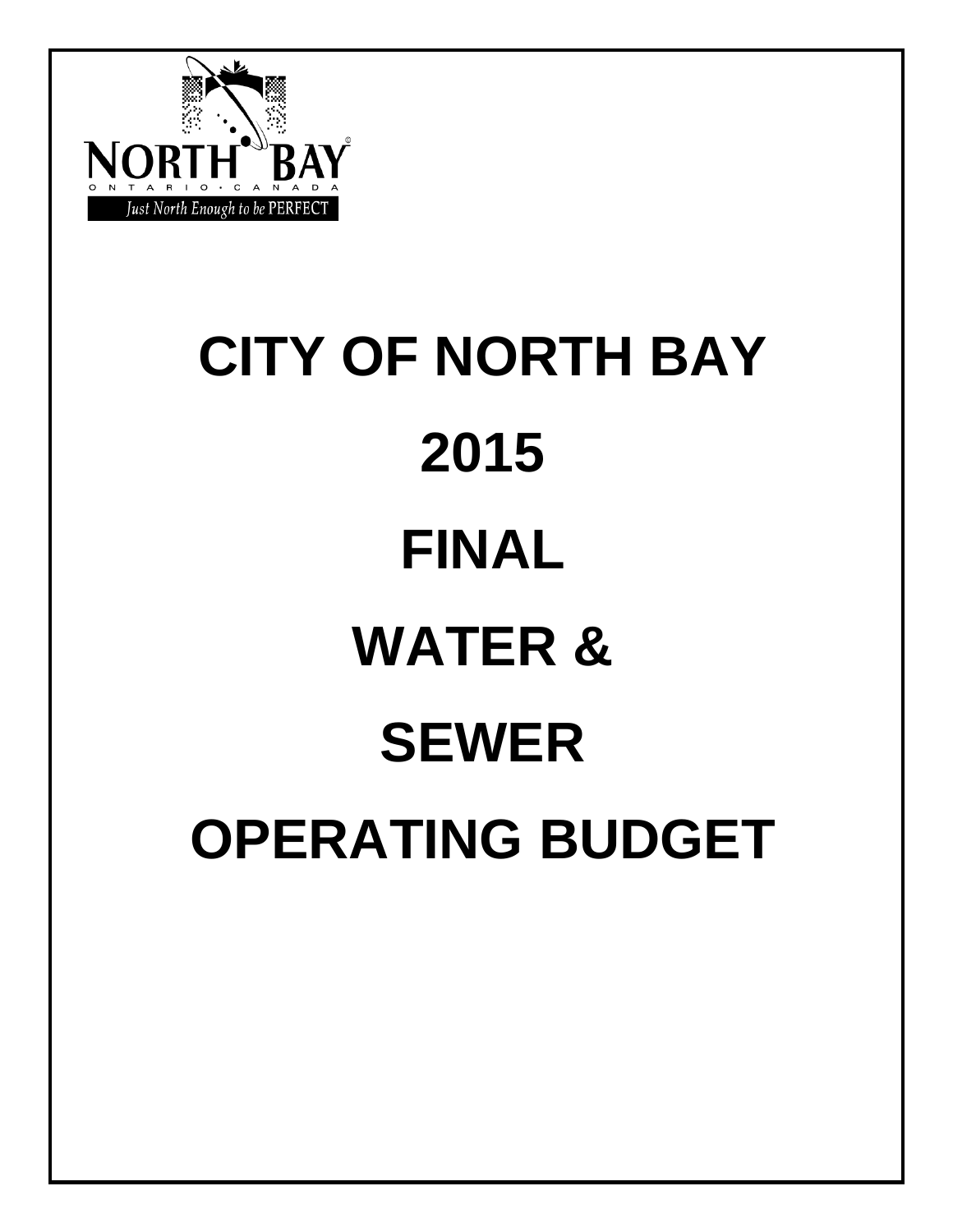

# **CITY OF NORTH BAY 2015 FINAL WATER & SEWER OPERATING BUDGET**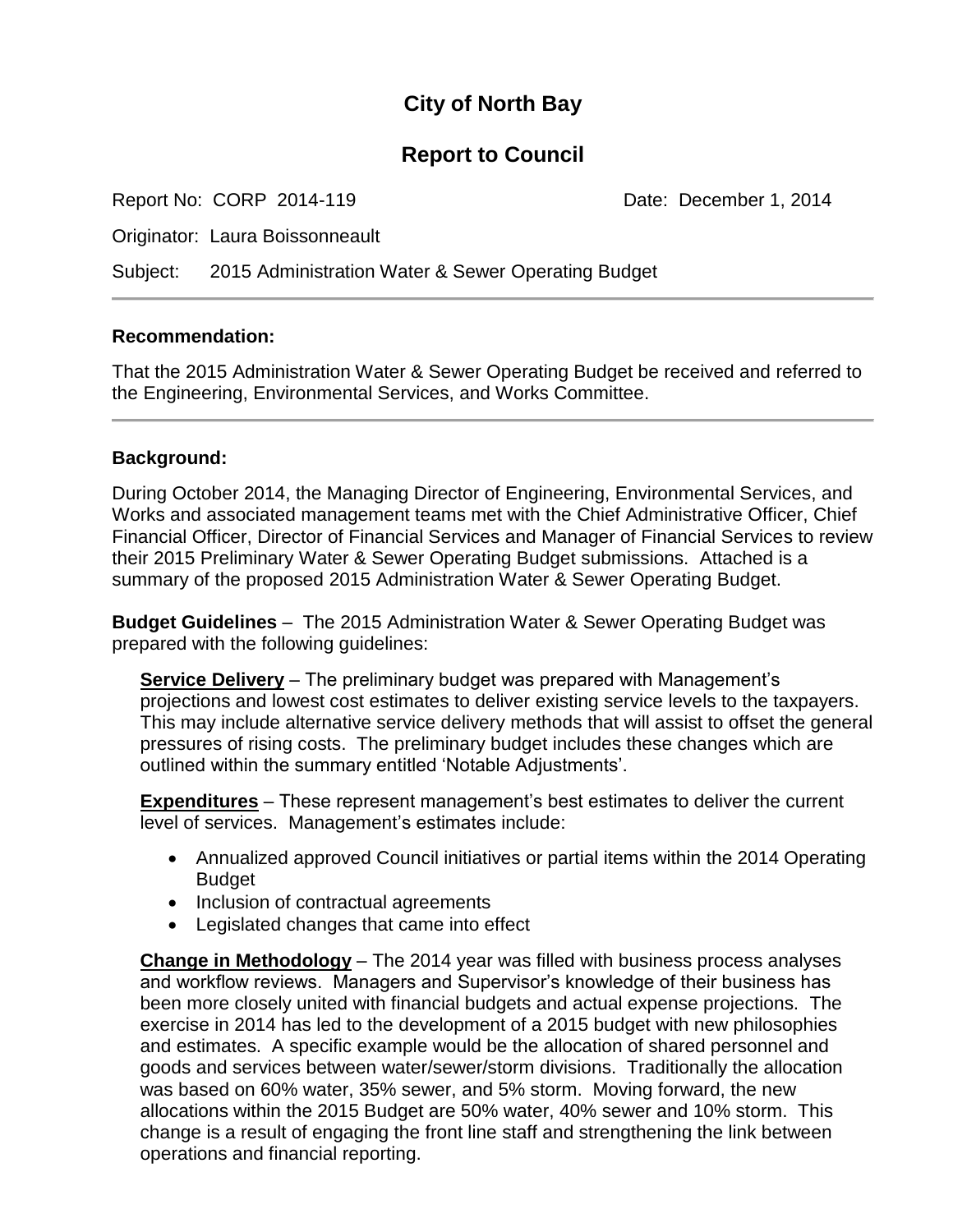#### **City of North Bay**

#### **Report to Council**

Report No: CORP 2014-119 Date: December 1, 2014

Originator: Laura Boissonneault

Subject: 2015 Administration Water & Sewer Operating Budget

#### **Recommendation:**

That the 2015 Administration Water & Sewer Operating Budget be received and referred to the Engineering, Environmental Services, and Works Committee.

#### **Background:**

During October 2014, the Managing Director of Engineering, Environmental Services, and Works and associated management teams met with the Chief Administrative Officer, Chief Financial Officer, Director of Financial Services and Manager of Financial Services to review their 2015 Preliminary Water & Sewer Operating Budget submissions. Attached is a summary of the proposed 2015 Administration Water & Sewer Operating Budget.

**Budget Guidelines** – The 2015 Administration Water & Sewer Operating Budget was prepared with the following guidelines:

**Service Delivery** – The preliminary budget was prepared with Management's projections and lowest cost estimates to deliver existing service levels to the taxpayers. This may include alternative service delivery methods that will assist to offset the general pressures of rising costs. The preliminary budget includes these changes which are outlined within the summary entitled 'Notable Adjustments'.

**Expenditures** – These represent management's best estimates to deliver the current level of services. Management's estimates include:

- Annualized approved Council initiatives or partial items within the 2014 Operating Budget
- Inclusion of contractual agreements
- Legislated changes that came into effect

**Change in Methodology** – The 2014 year was filled with business process analyses and workflow reviews. Managers and Supervisor's knowledge of their business has been more closely united with financial budgets and actual expense projections. The exercise in 2014 has led to the development of a 2015 budget with new philosophies and estimates. A specific example would be the allocation of shared personnel and goods and services between water/sewer/storm divisions. Traditionally the allocation was based on 60% water, 35% sewer, and 5% storm. Moving forward, the new allocations within the 2015 Budget are 50% water, 40% sewer and 10% storm. This change is a result of engaging the front line staff and strengthening the link between operations and financial reporting.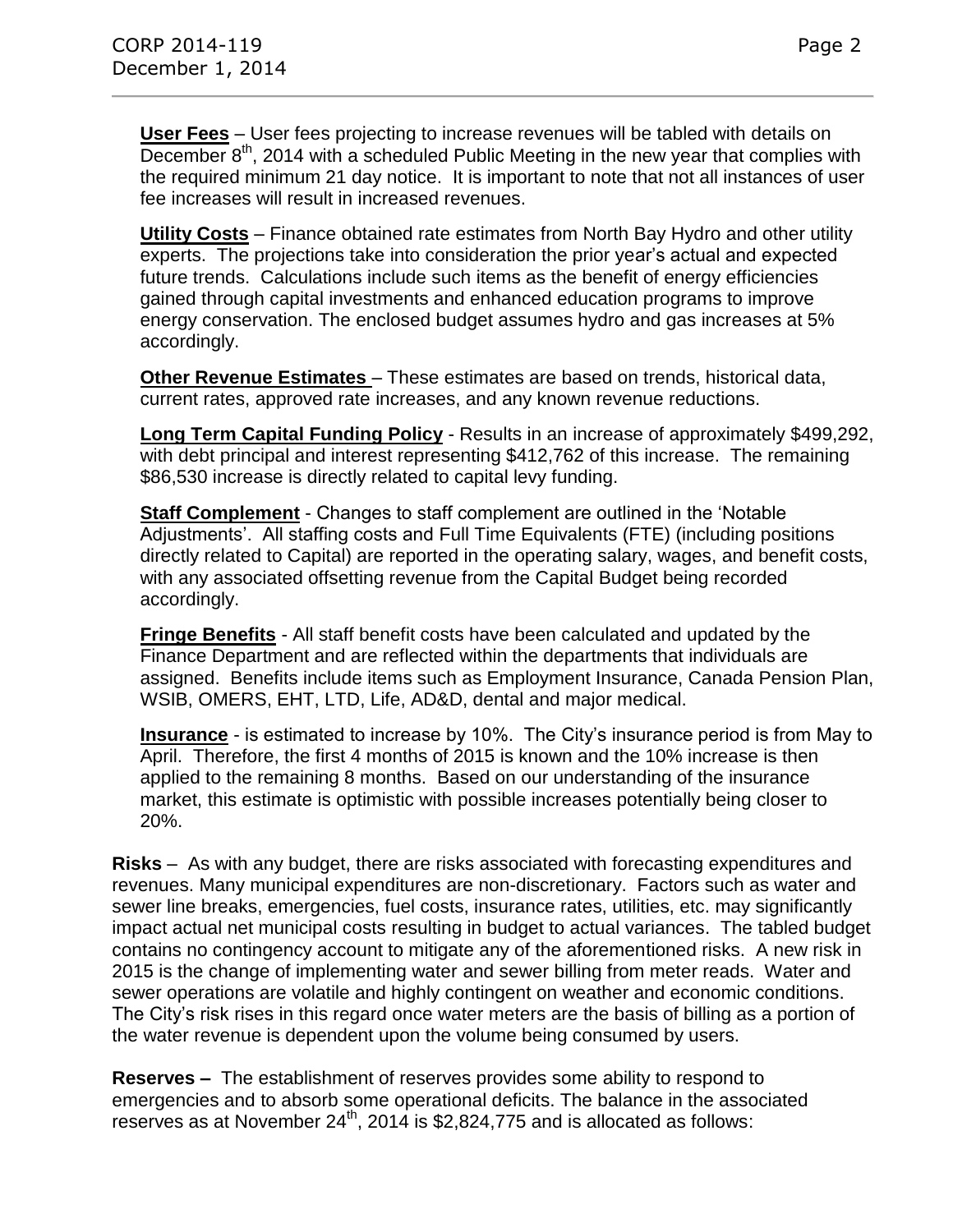**User Fees** – User fees projecting to increase revenues will be tabled with details on  $\overline{\text{December}}$   $8^{\text{th}}$ , 2014 with a scheduled Public Meeting in the new year that complies with the required minimum 21 day notice. It is important to note that not all instances of user fee increases will result in increased revenues.

**Utility Costs** – Finance obtained rate estimates from North Bay Hydro and other utility experts. The projections take into consideration the prior year's actual and expected future trends. Calculations include such items as the benefit of energy efficiencies gained through capital investments and enhanced education programs to improve energy conservation. The enclosed budget assumes hydro and gas increases at 5% accordingly.

**Other Revenue Estimates** – These estimates are based on trends, historical data, current rates, approved rate increases, and any known revenue reductions.

**Long Term Capital Funding Policy** - Results in an increase of approximately \$499,292, with debt principal and interest representing \$412,762 of this increase. The remaining \$86,530 increase is directly related to capital levy funding.

**Staff Complement** - Changes to staff complement are outlined in the 'Notable Adjustments'. All staffing costs and Full Time Equivalents (FTE) (including positions directly related to Capital) are reported in the operating salary, wages, and benefit costs, with any associated offsetting revenue from the Capital Budget being recorded accordingly.

**Fringe Benefits** - All staff benefit costs have been calculated and updated by the Finance Department and are reflected within the departments that individuals are assigned. Benefits include items such as Employment Insurance, Canada Pension Plan, WSIB, OMERS, EHT, LTD, Life, AD&D, dental and major medical.

**Insurance** - is estimated to increase by 10%. The City's insurance period is from May to April. Therefore, the first 4 months of 2015 is known and the 10% increase is then applied to the remaining 8 months. Based on our understanding of the insurance market, this estimate is optimistic with possible increases potentially being closer to 20%.

**Risks** – As with any budget, there are risks associated with forecasting expenditures and revenues. Many municipal expenditures are non-discretionary. Factors such as water and sewer line breaks, emergencies, fuel costs, insurance rates, utilities, etc. may significantly impact actual net municipal costs resulting in budget to actual variances. The tabled budget contains no contingency account to mitigate any of the aforementioned risks. A new risk in 2015 is the change of implementing water and sewer billing from meter reads. Water and sewer operations are volatile and highly contingent on weather and economic conditions. The City's risk rises in this regard once water meters are the basis of billing as a portion of the water revenue is dependent upon the volume being consumed by users.

**Reserves –** The establishment of reserves provides some ability to respond to emergencies and to absorb some operational deficits. The balance in the associated reserves as at November  $24^{th}$ , 2014 is \$2,824,775 and is allocated as follows: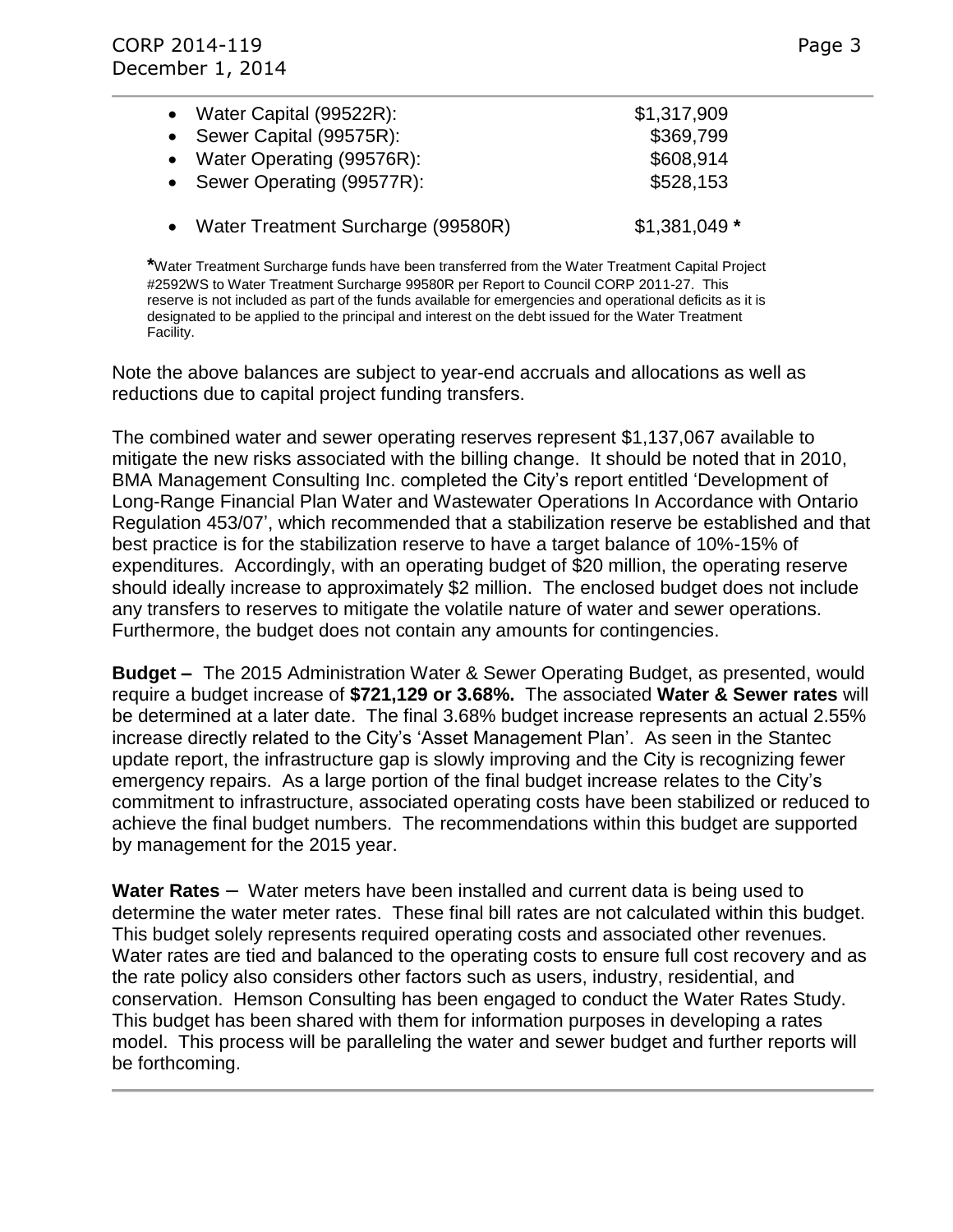| • Water Capital (99522R):            | \$1,317,909    |
|--------------------------------------|----------------|
| • Sewer Capital (99575R):            | \$369,799      |
| • Water Operating (99576R):          | \$608,914      |
| • Sewer Operating (99577R):          | \$528,153      |
| • Water Treatment Surcharge (99580R) | $$1,381,049$ * |

**\***Water Treatment Surcharge funds have been transferred from the Water Treatment Capital Project #2592WS to Water Treatment Surcharge 99580R per Report to Council CORP 2011-27. This reserve is not included as part of the funds available for emergencies and operational deficits as it is designated to be applied to the principal and interest on the debt issued for the Water Treatment Facility.

Note the above balances are subject to year-end accruals and allocations as well as reductions due to capital project funding transfers.

The combined water and sewer operating reserves represent \$1,137,067 available to mitigate the new risks associated with the billing change. It should be noted that in 2010, BMA Management Consulting Inc. completed the City's report entitled 'Development of Long-Range Financial Plan Water and Wastewater Operations In Accordance with Ontario Regulation 453/07', which recommended that a stabilization reserve be established and that best practice is for the stabilization reserve to have a target balance of 10%-15% of expenditures. Accordingly, with an operating budget of \$20 million, the operating reserve should ideally increase to approximately \$2 million. The enclosed budget does not include any transfers to reserves to mitigate the volatile nature of water and sewer operations. Furthermore, the budget does not contain any amounts for contingencies.

**Budget –** The 2015 Administration Water & Sewer Operating Budget, as presented, would require a budget increase of **\$721,129 or 3.68%.** The associated **Water & Sewer rates** will be determined at a later date. The final 3.68% budget increase represents an actual 2.55% increase directly related to the City's 'Asset Management Plan'. As seen in the Stantec update report, the infrastructure gap is slowly improving and the City is recognizing fewer emergency repairs. As a large portion of the final budget increase relates to the City's commitment to infrastructure, associated operating costs have been stabilized or reduced to achieve the final budget numbers. The recommendations within this budget are supported by management for the 2015 year.

**Water Rates** – Water meters have been installed and current data is being used to determine the water meter rates. These final bill rates are not calculated within this budget. This budget solely represents required operating costs and associated other revenues. Water rates are tied and balanced to the operating costs to ensure full cost recovery and as the rate policy also considers other factors such as users, industry, residential, and conservation. Hemson Consulting has been engaged to conduct the Water Rates Study. This budget has been shared with them for information purposes in developing a rates model. This process will be paralleling the water and sewer budget and further reports will be forthcoming.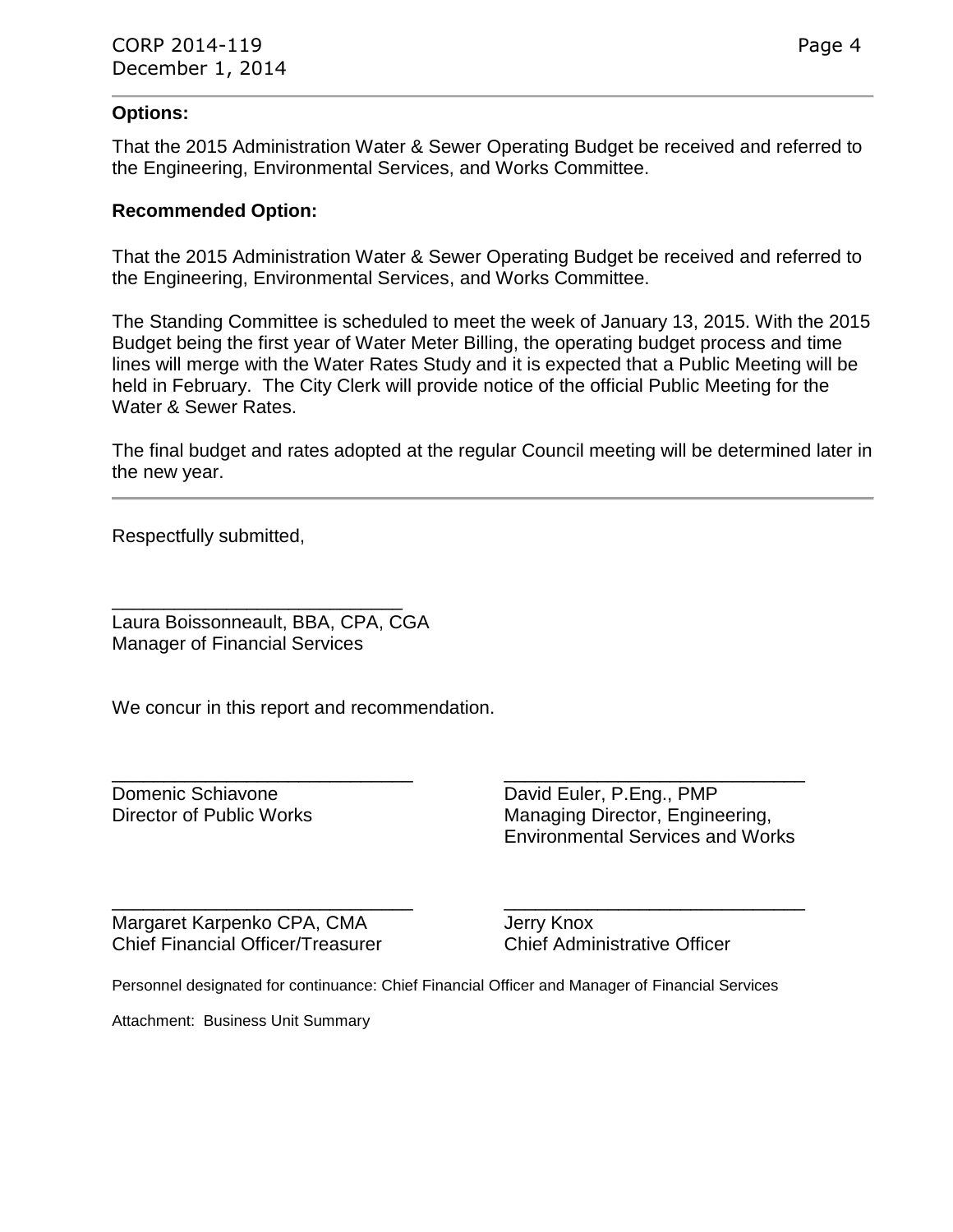#### **Options:**

That the 2015 Administration Water & Sewer Operating Budget be received and referred to the Engineering, Environmental Services, and Works Committee.

#### **Recommended Option:**

That the 2015 Administration Water & Sewer Operating Budget be received and referred to the Engineering, Environmental Services, and Works Committee.

The Standing Committee is scheduled to meet the week of January 13, 2015. With the 2015 Budget being the first year of Water Meter Billing, the operating budget process and time lines will merge with the Water Rates Study and it is expected that a Public Meeting will be held in February. The City Clerk will provide notice of the official Public Meeting for the Water & Sewer Rates.

The final budget and rates adopted at the regular Council meeting will be determined later in the new year.

Respectfully submitted,

\_\_\_\_\_\_\_\_\_\_\_\_\_\_\_\_\_\_\_\_\_\_\_\_\_\_\_\_ Laura Boissonneault, BBA, CPA, CGA Manager of Financial Services

We concur in this report and recommendation.

\_\_\_\_\_\_\_\_\_\_\_\_\_\_\_\_\_\_\_\_\_\_\_\_\_\_\_\_\_ \_\_\_\_\_\_\_\_\_\_\_\_\_\_\_\_\_\_\_\_\_\_\_\_\_\_\_\_\_ Domenic Schiavone **David Euler, P.Eng., PMP** Director of Public Works Managing Director, Engineering, Environmental Services and Works

\_\_\_\_\_\_\_\_\_\_\_\_\_\_\_\_\_\_\_\_\_\_\_\_\_\_\_\_\_ \_\_\_\_\_\_\_\_\_\_\_\_\_\_\_\_\_\_\_\_\_\_\_\_\_\_\_\_\_ Margaret Karpenko CPA, CMA Jerry Knox Chief Financial Officer/Treasurer Chief Administrative Officer

Personnel designated for continuance: Chief Financial Officer and Manager of Financial Services

Attachment: Business Unit Summary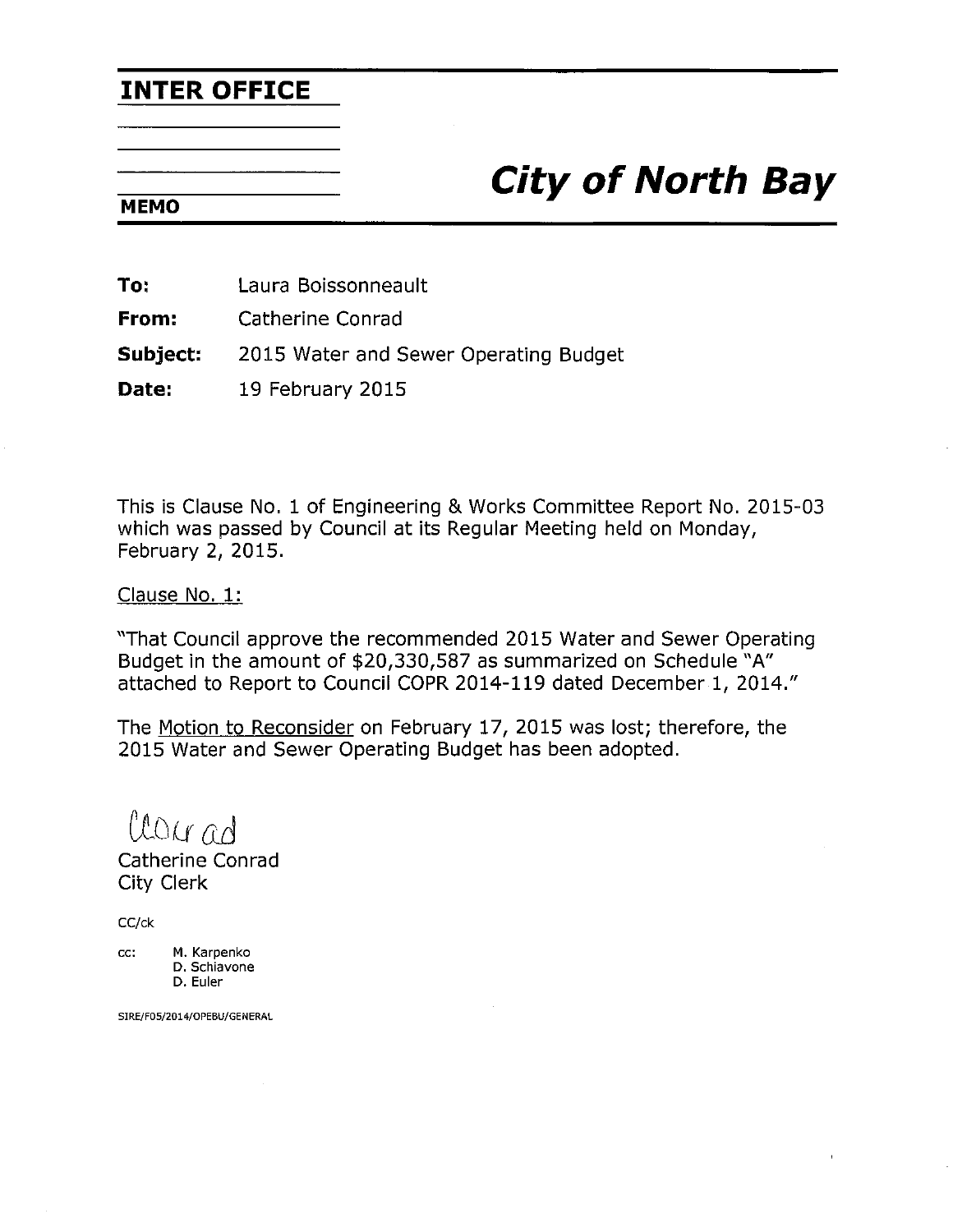### **INTER OFFICE**

## **City of North Bay**

#### **MEMO**

To: Laura Boissonneault

From: Catherine Conrad

Subject: 2015 Water and Sewer Operating Budget

Date: 19 February 2015

This is Clause No. 1 of Engineering & Works Committee Report No. 2015-03 which was passed by Council at its Regular Meeting held on Monday, February 2, 2015.

Clause No. 1:

"That Council approve the recommended 2015 Water and Sewer Operating Budget in the amount of \$20,330,587 as summarized on Schedule "A" attached to Report to Council COPR 2014-119 dated December 1, 2014."

The Motion to Reconsider on February 17, 2015 was lost; therefore, the 2015 Water and Sewer Operating Budget has been adopted.

Clourad

Catherine Conrad **City Clerk** 

CC/ck

M. Karpenko CC: D. Schiavone

D. Euler

SIRE/F05/2014/OPEBU/GENERAL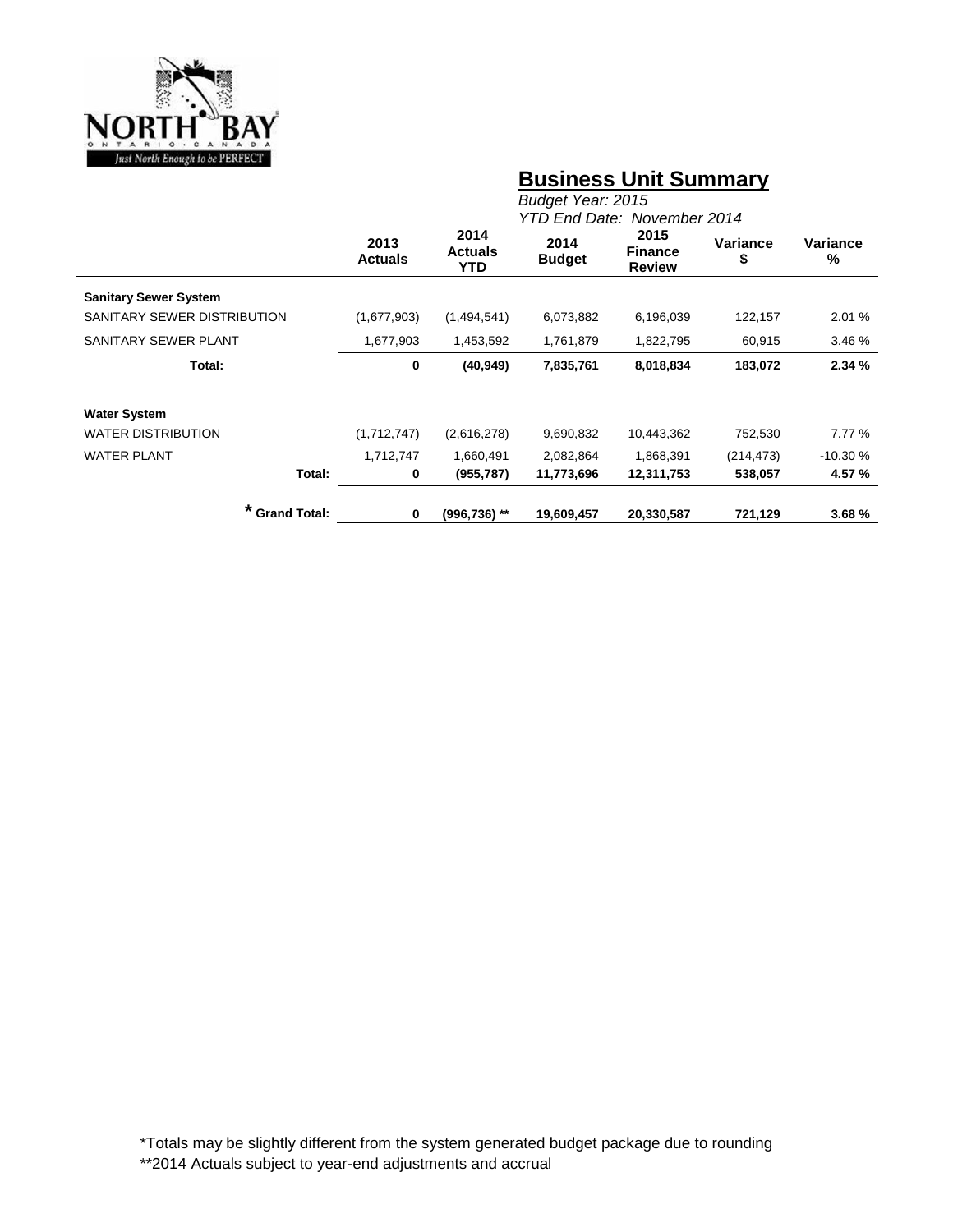

### **Business Unit Summary**

|                              | Budget Year: 2015<br>YTD End Date: November 2014 |                               |                       |                                         |                |               |  |  |  |
|------------------------------|--------------------------------------------------|-------------------------------|-----------------------|-----------------------------------------|----------------|---------------|--|--|--|
|                              | 2013<br><b>Actuals</b>                           | 2014<br><b>Actuals</b><br>YTD | 2014<br><b>Budget</b> | 2015<br><b>Finance</b><br><b>Review</b> | Variance<br>\$ | Variance<br>% |  |  |  |
| <b>Sanitary Sewer System</b> |                                                  |                               |                       |                                         |                |               |  |  |  |
| SANITARY SEWER DISTRIBUTION  | (1,677,903)                                      | (1,494,541)                   | 6,073,882             | 6,196,039                               | 122,157        | 2.01 %        |  |  |  |
| SANITARY SEWER PLANT         | 1,677,903                                        | 1,453,592                     | 1,761,879             |                                         | 60,915         | 3.46 %        |  |  |  |
| Total:                       | $\mathbf 0$                                      | (40, 949)                     | 7,835,761             | 8,018,834                               | 183,072        | 2.34%         |  |  |  |
| <b>Water System</b>          |                                                  |                               |                       |                                         |                |               |  |  |  |
| <b>WATER DISTRIBUTION</b>    | (1,712,747)                                      | (2,616,278)                   | 9,690,832             | 10,443,362                              | 752,530        | 7.77 %        |  |  |  |
| <b>WATER PLANT</b>           | 1,712,747                                        | 1,660,491                     | 2,082,864             | 1,868,391                               | (214, 473)     | $-10.30%$     |  |  |  |
| Total:                       | 0                                                | (955, 787)                    | 11,773,696            | 12,311,753                              | 538,057        | 4.57 %        |  |  |  |
| <b>Grand Total:</b>          | 0                                                | $(996, 736)$ **               | 19,609,457            | 20,330,587                              | 721,129        | 3.68%         |  |  |  |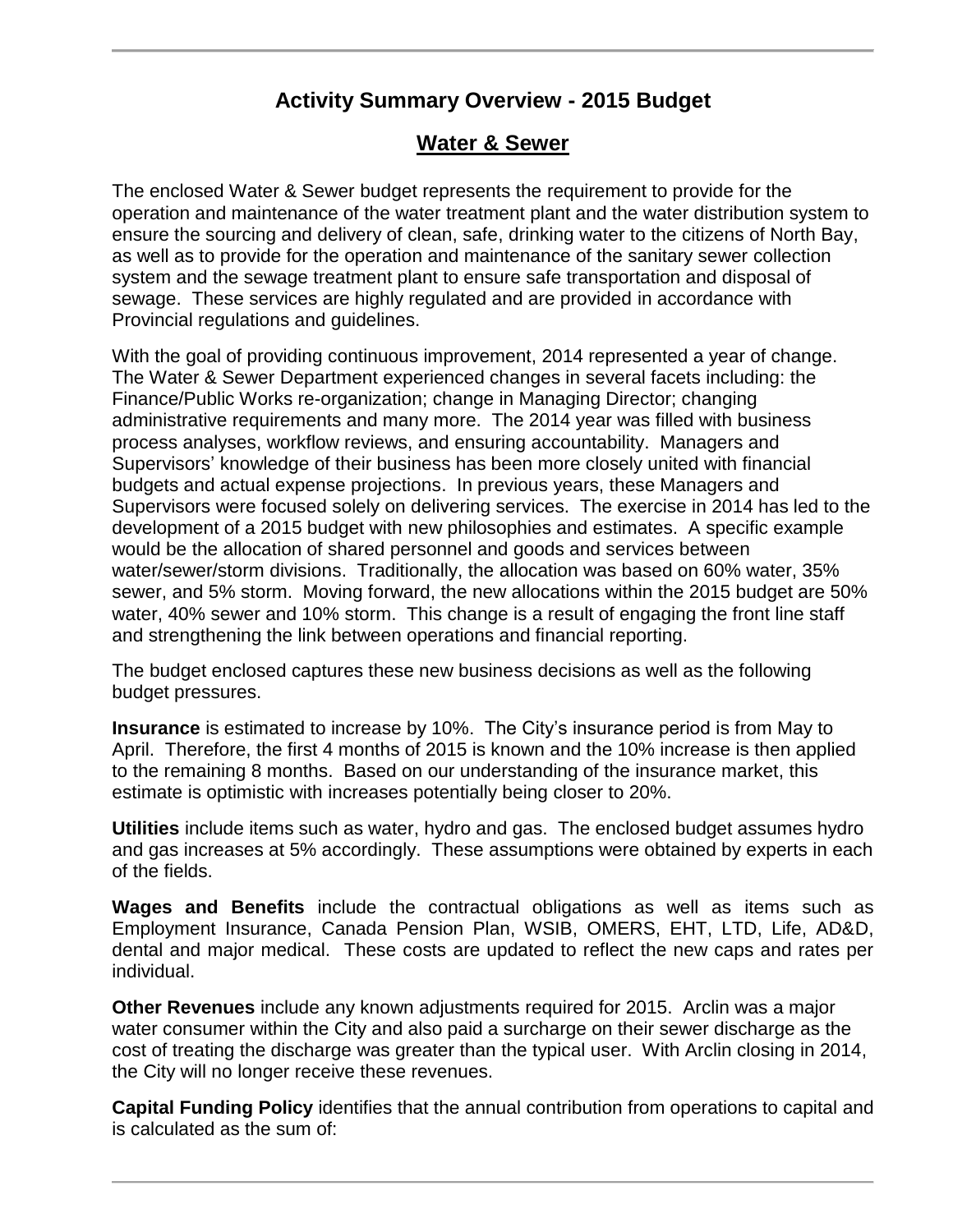### **Activity Summary Overview - 2015 Budget**

#### **Water & Sewer**

The enclosed Water & Sewer budget represents the requirement to provide for the operation and maintenance of the water treatment plant and the water distribution system to ensure the sourcing and delivery of clean, safe, drinking water to the citizens of North Bay, as well as to provide for the operation and maintenance of the sanitary sewer collection system and the sewage treatment plant to ensure safe transportation and disposal of sewage. These services are highly regulated and are provided in accordance with Provincial regulations and guidelines.

With the goal of providing continuous improvement, 2014 represented a year of change. The Water & Sewer Department experienced changes in several facets including: the Finance/Public Works re-organization; change in Managing Director; changing administrative requirements and many more. The 2014 year was filled with business process analyses, workflow reviews, and ensuring accountability. Managers and Supervisors' knowledge of their business has been more closely united with financial budgets and actual expense projections. In previous years, these Managers and Supervisors were focused solely on delivering services. The exercise in 2014 has led to the development of a 2015 budget with new philosophies and estimates. A specific example would be the allocation of shared personnel and goods and services between water/sewer/storm divisions. Traditionally, the allocation was based on 60% water, 35% sewer, and 5% storm. Moving forward, the new allocations within the 2015 budget are 50% water, 40% sewer and 10% storm. This change is a result of engaging the front line staff and strengthening the link between operations and financial reporting.

The budget enclosed captures these new business decisions as well as the following budget pressures.

**Insurance** is estimated to increase by 10%. The City's insurance period is from May to April. Therefore, the first 4 months of 2015 is known and the 10% increase is then applied to the remaining 8 months. Based on our understanding of the insurance market, this estimate is optimistic with increases potentially being closer to 20%.

**Utilities** include items such as water, hydro and gas. The enclosed budget assumes hydro and gas increases at 5% accordingly. These assumptions were obtained by experts in each of the fields.

**Wages and Benefits** include the contractual obligations as well as items such as Employment Insurance, Canada Pension Plan, WSIB, OMERS, EHT, LTD, Life, AD&D, dental and major medical. These costs are updated to reflect the new caps and rates per individual.

**Other Revenues** include any known adjustments required for 2015. Arclin was a major water consumer within the City and also paid a surcharge on their sewer discharge as the cost of treating the discharge was greater than the typical user. With Arclin closing in 2014, the City will no longer receive these revenues.

**Capital Funding Policy** identifies that the annual contribution from operations to capital and is calculated as the sum of: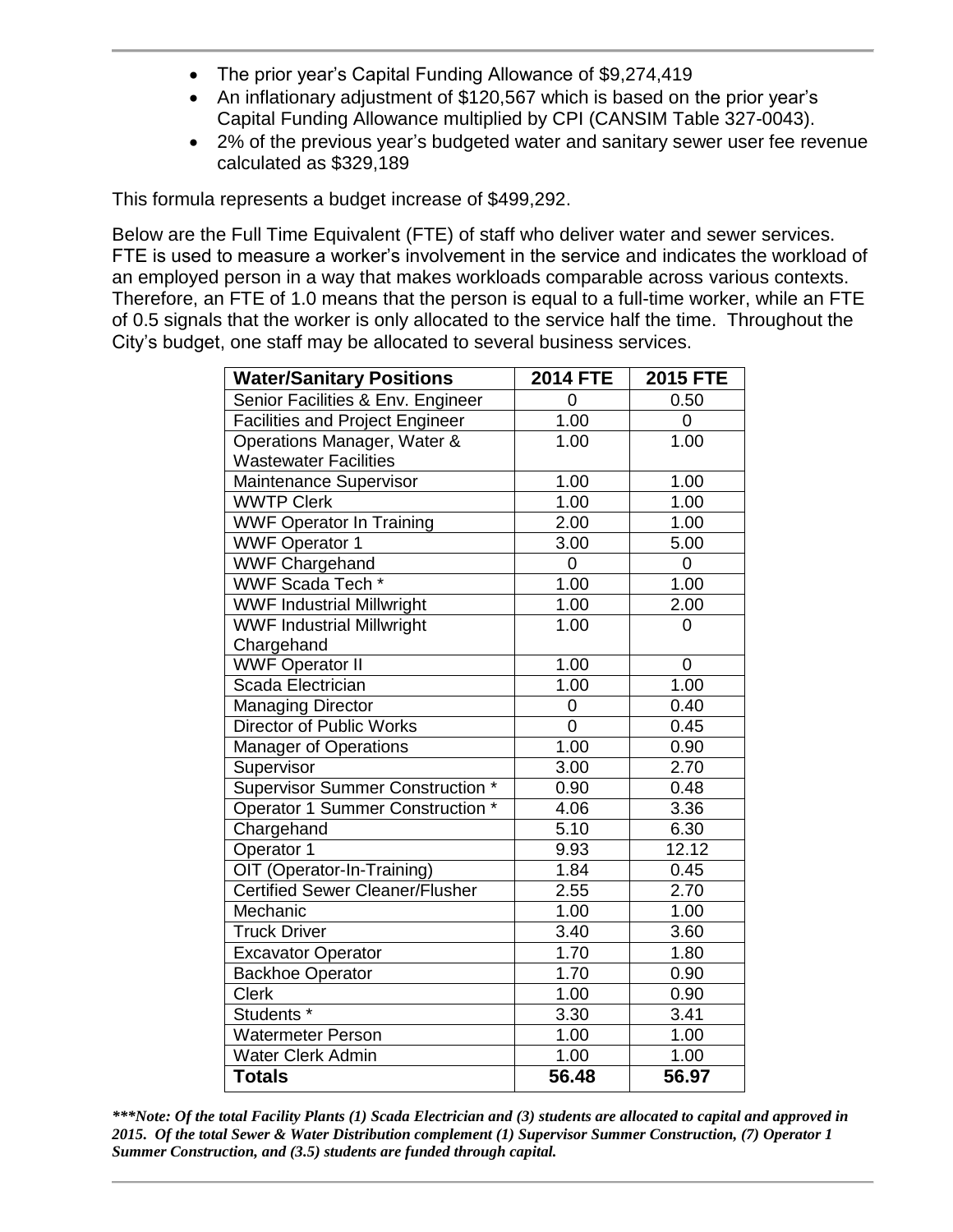- The prior year's Capital Funding Allowance of \$9,274,419
- An inflationary adjustment of \$120,567 which is based on the prior year's Capital Funding Allowance multiplied by CPI (CANSIM Table 327-0043).
- 2% of the previous year's budgeted water and sanitary sewer user fee revenue calculated as \$329,189

This formula represents a budget increase of \$499,292.

Below are the Full Time Equivalent (FTE) of staff who deliver water and sewer services. FTE is used to measure a worker's involvement in the service and indicates the workload of an employed person in a way that makes workloads comparable across various contexts. Therefore, an FTE of 1.0 means that the person is equal to a full-time worker, while an FTE of 0.5 signals that the worker is only allocated to the service half the time. Throughout the City's budget, one staff may be allocated to several business services.

| <b>Water/Sanitary Positions</b>         | <b>2014 FTE</b> | <b>2015 FTE</b> |
|-----------------------------------------|-----------------|-----------------|
| Senior Facilities & Env. Engineer       | $\overline{0}$  | 0.50            |
| <b>Facilities and Project Engineer</b>  | 1.00            | 0               |
| Operations Manager, Water &             | 1.00            | 1.00            |
| <b>Wastewater Facilities</b>            |                 |                 |
| Maintenance Supervisor                  | 1.00            | 1.00            |
| <b>WWTP Clerk</b>                       | 1.00            | 1.00            |
| <b>WWF Operator In Training</b>         | 2.00            | 1.00            |
| <b>WWF Operator 1</b>                   | 3.00            | 5.00            |
| <b>WWF Chargehand</b>                   | 0               | 0               |
| WWF Scada Tech *                        | 1.00            | 1.00            |
| <b>WWF Industrial Millwright</b>        | 1.00            | 2.00            |
| <b>WWF Industrial Millwright</b>        | 1.00            | 0               |
| Chargehand                              |                 |                 |
| <b>WWF Operator II</b>                  | 1.00            | $\mathbf 0$     |
| Scada Electrician                       | 1.00            | 1.00            |
| <b>Managing Director</b>                | 0               | 0.40            |
| <b>Director of Public Works</b>         | 0               | 0.45            |
| <b>Manager of Operations</b>            | 1.00            | 0.90            |
| Supervisor                              | 3.00            | 2.70            |
| <b>Supervisor Summer Construction *</b> | 0.90            | 0.48            |
| Operator 1 Summer Construction *        | 4.06            | 3.36            |
| Chargehand                              | 5.10            | 6.30            |
| Operator 1                              | 9.93            | 12.12           |
| OIT (Operator-In-Training)              | 1.84            | 0.45            |
| <b>Certified Sewer Cleaner/Flusher</b>  | 2.55            | 2.70            |
| Mechanic                                | 1.00            | 1.00            |
| <b>Truck Driver</b>                     | 3.40            | 3.60            |
| <b>Excavator Operator</b>               | 1.70            | 1.80            |
| <b>Backhoe Operator</b>                 | 1.70            | 0.90            |
| <b>Clerk</b>                            | 1.00            | 0.90            |
| Students <sup>*</sup>                   | 3.30            | 3.41            |
| <b>Watermeter Person</b>                | 1.00            | 1.00            |
| <b>Water Clerk Admin</b>                | 1.00            | 1.00            |
| <b>Totals</b>                           | 56.48           | 56.97           |

*\*\*\*Note: Of the total Facility Plants (1) Scada Electrician and (3) students are allocated to capital and approved in 2015. Of the total Sewer & Water Distribution complement (1) Supervisor Summer Construction, (7) Operator 1 Summer Construction, and (3.5) students are funded through capital.*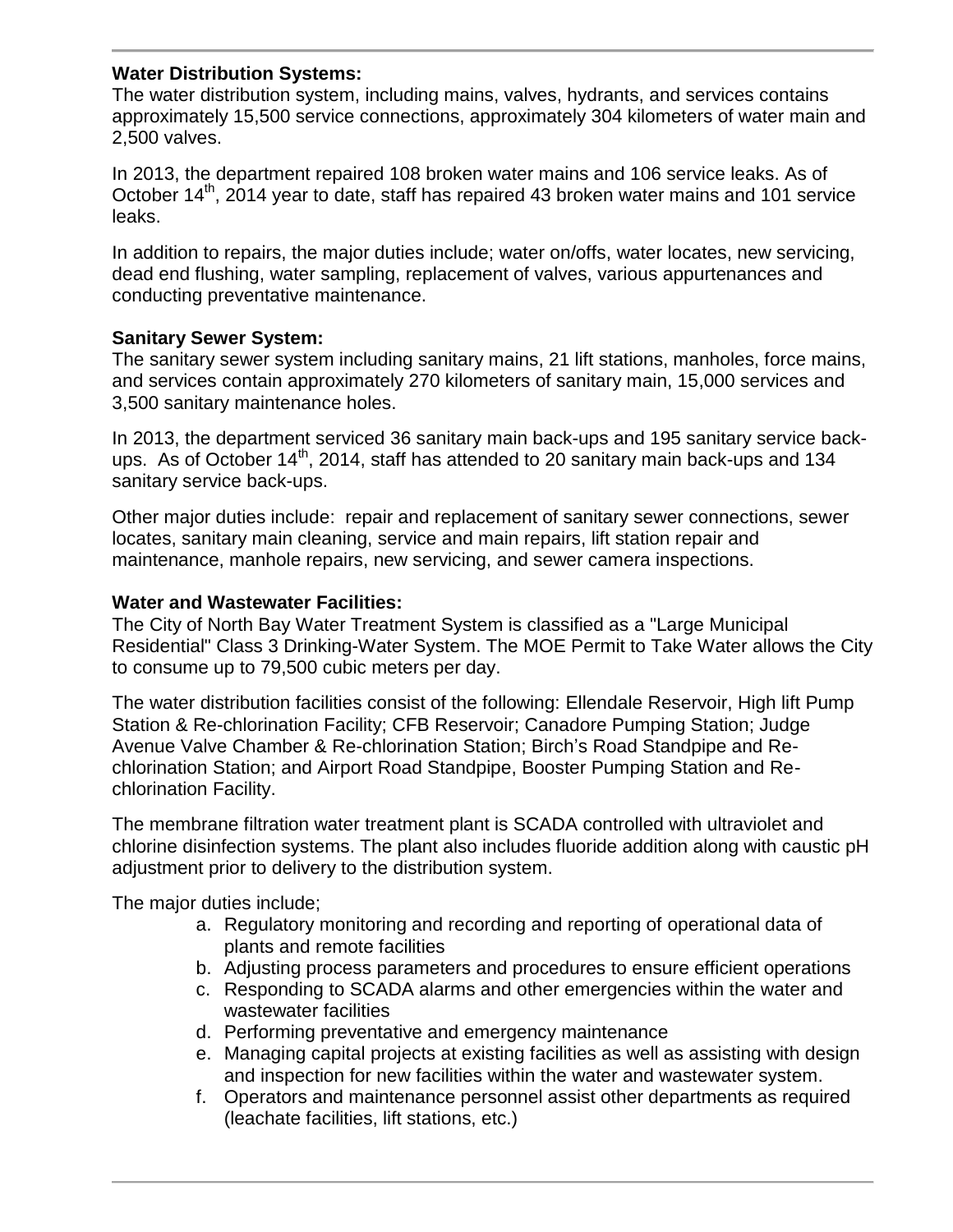#### **Water Distribution Systems:**

The water distribution system, including mains, valves, hydrants, and services contains approximately 15,500 service connections, approximately 304 kilometers of water main and 2,500 valves.

In 2013, the department repaired 108 broken water mains and 106 service leaks. As of October 14<sup>th</sup>, 2014 year to date, staff has repaired 43 broken water mains and 101 service leaks.

In addition to repairs, the major duties include; water on/offs, water locates, new servicing, dead end flushing, water sampling, replacement of valves, various appurtenances and conducting preventative maintenance.

#### **Sanitary Sewer System:**

The sanitary sewer system including sanitary mains, 21 lift stations, manholes, force mains, and services contain approximately 270 kilometers of sanitary main, 15,000 services and 3,500 sanitary maintenance holes.

In 2013, the department serviced 36 sanitary main back-ups and 195 sanitary service backups. As of October  $14<sup>th</sup>$ , 2014, staff has attended to 20 sanitary main back-ups and 134 sanitary service back-ups.

Other major duties include: repair and replacement of sanitary sewer connections, sewer locates, sanitary main cleaning, service and main repairs, lift station repair and maintenance, manhole repairs, new servicing, and sewer camera inspections.

#### **Water and Wastewater Facilities:**

The City of North Bay Water Treatment System is classified as a "Large Municipal Residential" Class 3 Drinking-Water System. The MOE Permit to Take Water allows the City to consume up to 79,500 cubic meters per day.

The water distribution facilities consist of the following: Ellendale Reservoir, High lift Pump Station & Re-chlorination Facility; CFB Reservoir; Canadore Pumping Station; Judge Avenue Valve Chamber & Re-chlorination Station; Birch's Road Standpipe and Rechlorination Station; and Airport Road Standpipe, Booster Pumping Station and Rechlorination Facility.

The membrane filtration water treatment plant is SCADA controlled with ultraviolet and chlorine disinfection systems. The plant also includes fluoride addition along with caustic pH adjustment prior to delivery to the distribution system.

The major duties include;

- a. Regulatory monitoring and recording and reporting of operational data of plants and remote facilities
- b. Adjusting process parameters and procedures to ensure efficient operations
- c. Responding to SCADA alarms and other emergencies within the water and wastewater facilities
- d. Performing preventative and emergency maintenance
- e. Managing capital projects at existing facilities as well as assisting with design and inspection for new facilities within the water and wastewater system.
- f. Operators and maintenance personnel assist other departments as required (leachate facilities, lift stations, etc.)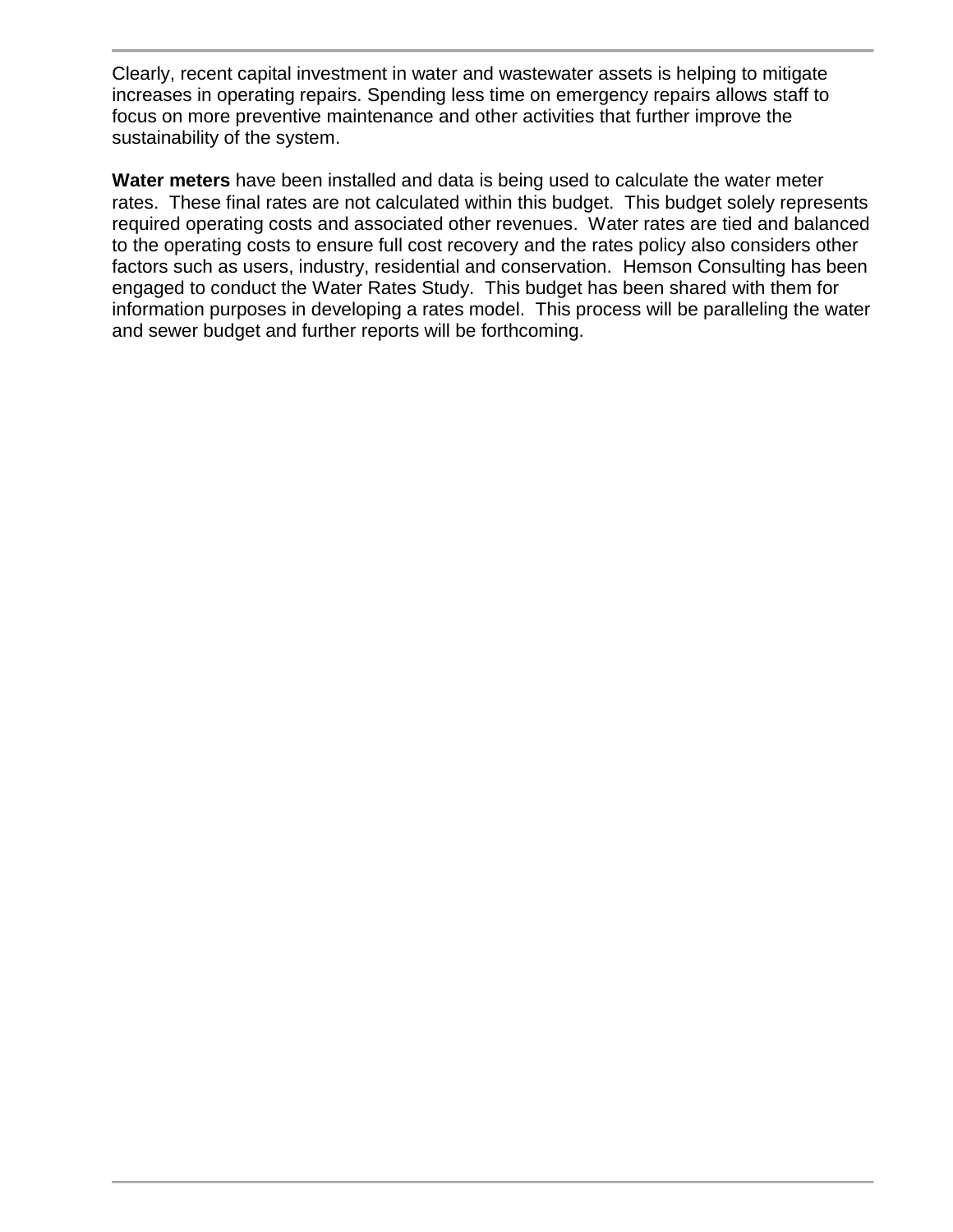Clearly, recent capital investment in water and wastewater assets is helping to mitigate increases in operating repairs. Spending less time on emergency repairs allows staff to focus on more preventive maintenance and other activities that further improve the sustainability of the system.

**Water meters** have been installed and data is being used to calculate the water meter rates. These final rates are not calculated within this budget. This budget solely represents required operating costs and associated other revenues. Water rates are tied and balanced to the operating costs to ensure full cost recovery and the rates policy also considers other factors such as users, industry, residential and conservation. Hemson Consulting has been engaged to conduct the Water Rates Study. This budget has been shared with them for information purposes in developing a rates model. This process will be paralleling the water and sewer budget and further reports will be forthcoming.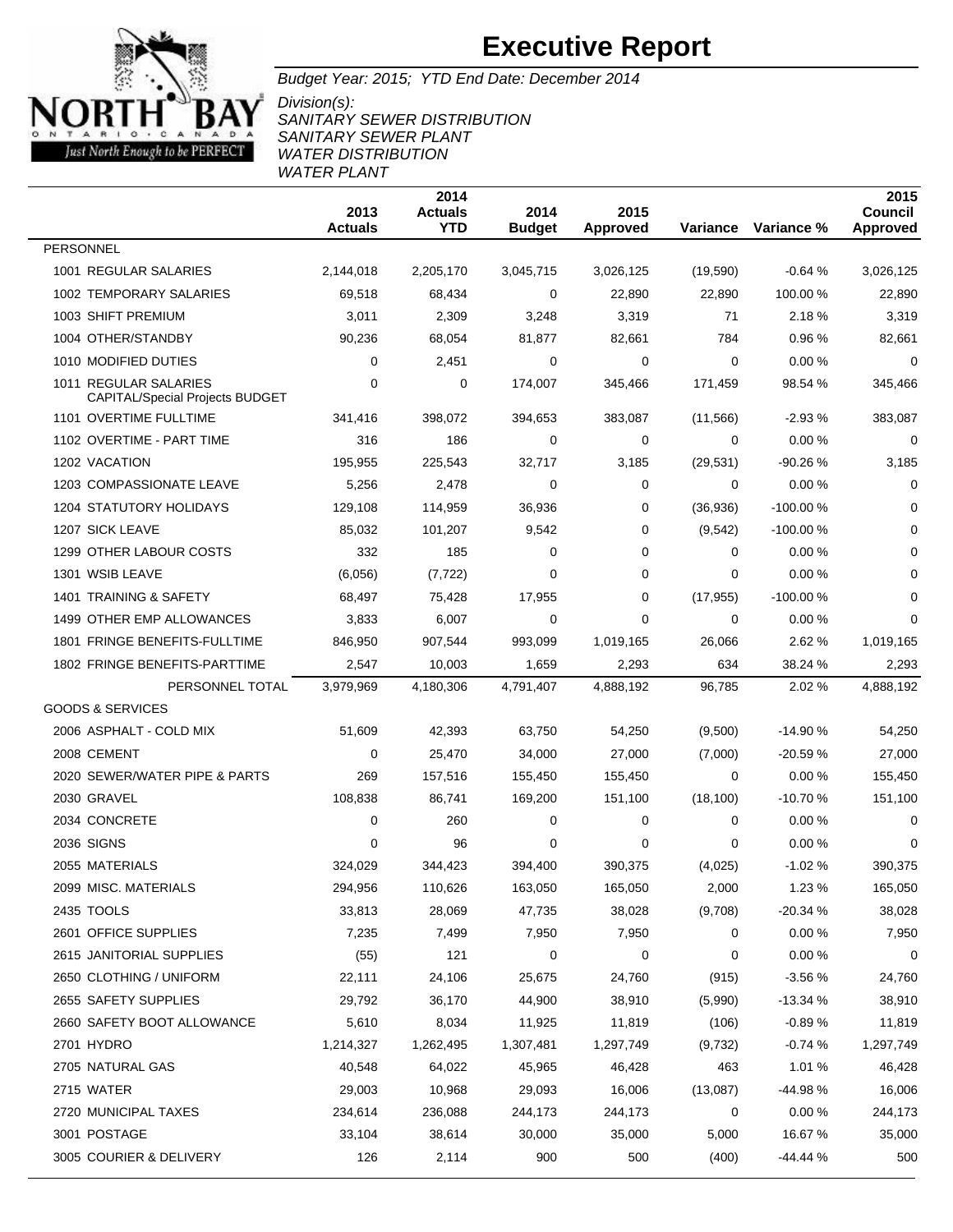

Budget Year: 2015; YTD End Date: December 2014

Division(s): SANITARY SEWER DISTRIBUTION SANITARY SEWER PLANT WATER DISTRIBUTION WATER PLANT

|                                                                 | 2013<br><b>Actuals</b> | 2014<br><b>Actuals</b><br><b>YTD</b> | 2014<br><b>Budget</b> | 2015<br><b>Approved</b> | Variance  | Variance % | 2015<br>Council<br><b>Approved</b> |
|-----------------------------------------------------------------|------------------------|--------------------------------------|-----------------------|-------------------------|-----------|------------|------------------------------------|
| <b>PERSONNEL</b>                                                |                        |                                      |                       |                         |           |            |                                    |
| 1001 REGULAR SALARIES                                           | 2,144,018              | 2,205,170                            | 3,045,715             | 3,026,125               | (19, 590) | $-0.64%$   | 3,026,125                          |
| 1002 TEMPORARY SALARIES                                         | 69,518                 | 68,434                               | 0                     | 22,890                  | 22,890    | 100.00 %   | 22,890                             |
| 1003 SHIFT PREMIUM                                              | 3,011                  | 2,309                                | 3,248                 | 3,319                   | 71        | 2.18%      | 3,319                              |
| 1004 OTHER/STANDBY                                              | 90,236                 | 68,054                               | 81,877                | 82,661                  | 784       | 0.96%      | 82,661                             |
| 1010 MODIFIED DUTIES                                            | 0                      | 2,451                                | 0                     | 0                       | 0         | 0.00%      | 0                                  |
| 1011 REGULAR SALARIES<br><b>CAPITAL/Special Projects BUDGET</b> | 0                      | 0                                    | 174,007               | 345,466                 | 171,459   | 98.54 %    | 345,466                            |
| 1101 OVERTIME FULLTIME                                          | 341.416                | 398,072                              | 394,653               | 383,087                 | (11, 566) | $-2.93%$   | 383,087                            |
| 1102 OVERTIME - PART TIME                                       | 316                    | 186                                  | 0                     | 0                       | 0         | 0.00%      | 0                                  |
| 1202 VACATION                                                   | 195,955                | 225,543                              | 32,717                | 3,185                   | (29, 531) | $-90.26%$  | 3,185                              |
| 1203 COMPASSIONATE LEAVE                                        | 5,256                  | 2,478                                | $\Omega$              | 0                       | 0         | 0.00%      | $\mathbf 0$                        |
| <b>1204 STATUTORY HOLIDAYS</b>                                  | 129,108                | 114,959                              | 36,936                | 0                       | (36,936)  | $-100.00%$ | $\mathbf 0$                        |
| 1207 SICK LEAVE                                                 | 85,032                 | 101,207                              | 9,542                 | 0                       | (9,542)   | $-100.00%$ | 0                                  |
| 1299 OTHER LABOUR COSTS                                         | 332                    | 185                                  | 0                     | 0                       | 0         | 0.00%      | 0                                  |
| 1301 WSIB LEAVE                                                 | (6,056)                | (7, 722)                             | 0                     | 0                       | 0         | 0.00%      | 0                                  |
| 1401 TRAINING & SAFETY                                          | 68,497                 | 75,428                               | 17,955                | 0                       | (17, 955) | $-100.00%$ | 0                                  |
| 1499 OTHER EMP ALLOWANCES                                       | 3,833                  | 6,007                                | 0                     | 0                       | 0         | 0.00%      | $\mathbf 0$                        |
| 1801 FRINGE BENEFITS-FULLTIME                                   | 846,950                | 907,544                              | 993,099               | 1,019,165               | 26,066    | 2.62 %     | 1,019,165                          |
| 1802 FRINGE BENEFITS-PARTTIME                                   | 2,547                  | 10,003                               | 1,659                 | 2,293                   | 634       | 38.24 %    | 2,293                              |
| PERSONNEL TOTAL                                                 | 3,979,969              | 4,180,306                            | 4,791,407             | 4,888,192               | 96,785    | 2.02%      | 4,888,192                          |
| <b>GOODS &amp; SERVICES</b>                                     |                        |                                      |                       |                         |           |            |                                    |
| 2006 ASPHALT - COLD MIX                                         | 51,609                 | 42,393                               | 63,750                | 54,250                  | (9,500)   | $-14.90%$  | 54,250                             |
| 2008 CEMENT                                                     | 0                      | 25,470                               | 34,000                | 27,000                  | (7,000)   | -20.59%    | 27,000                             |
| 2020 SEWER/WATER PIPE & PARTS                                   | 269                    | 157,516                              | 155,450               | 155,450                 | 0         | 0.00%      | 155,450                            |
| 2030 GRAVEL                                                     | 108,838                | 86,741                               | 169,200               | 151,100                 | (18, 100) | $-10.70%$  | 151,100                            |
| 2034 CONCRETE                                                   | 0                      | 260                                  | 0                     | 0                       | 0         | 0.00%      | 0                                  |
| 2036 SIGNS                                                      | 0                      | 96                                   | 0                     | 0                       | 0         | 0.00%      | 0                                  |
| 2055 MATERIALS                                                  | 324,029                | 344,423                              | 394.400               | 390,375                 | (4,025)   | $-1.02%$   | 390,375                            |
| 2099 MISC. MATERIALS                                            | 294,956                | 110,626                              | 163,050               | 165,050                 | 2,000     | 1.23 %     | 165,050                            |
| 2435 TOOLS                                                      | 33,813                 | 28,069                               | 47,735                | 38,028                  | (9,708)   | $-20.34%$  | 38,028                             |
| 2601 OFFICE SUPPLIES                                            | 7,235                  | 7,499                                | 7,950                 | 7,950                   | 0         | 0.00%      | 7,950                              |
| 2615 JANITORIAL SUPPLIES                                        | (55)                   | 121                                  | 0                     | 0                       | 0         | 0.00%      | 0                                  |
| 2650 CLOTHING / UNIFORM                                         | 22,111                 | 24,106                               | 25,675                | 24,760                  | (915)     | $-3.56%$   | 24,760                             |
| 2655 SAFETY SUPPLIES                                            | 29,792                 | 36,170                               | 44,900                | 38,910                  | (5,990)   | $-13.34%$  | 38,910                             |
| 2660 SAFETY BOOT ALLOWANCE                                      | 5,610                  | 8,034                                | 11,925                | 11,819                  | (106)     | $-0.89%$   | 11,819                             |
| 2701 HYDRO                                                      | 1,214,327              | 1,262,495                            | 1,307,481             | 1,297,749               | (9,732)   | $-0.74%$   | 1,297,749                          |
| 2705 NATURAL GAS                                                | 40,548                 | 64,022                               | 45,965                | 46,428                  | 463       | 1.01%      | 46,428                             |
| 2715 WATER                                                      | 29,003                 | 10,968                               | 29,093                | 16,006                  | (13,087)  | -44.98%    | 16,006                             |
| 2720 MUNICIPAL TAXES                                            | 234,614                | 236,088                              | 244,173               | 244,173                 | 0         | 0.00%      | 244,173                            |
| 3001 POSTAGE                                                    | 33,104                 | 38,614                               | 30,000                | 35,000                  | 5,000     | 16.67%     | 35,000                             |
| 3005 COURIER & DELIVERY                                         | 126                    | 2,114                                | 900                   | 500                     | (400)     | $-44.44%$  | 500                                |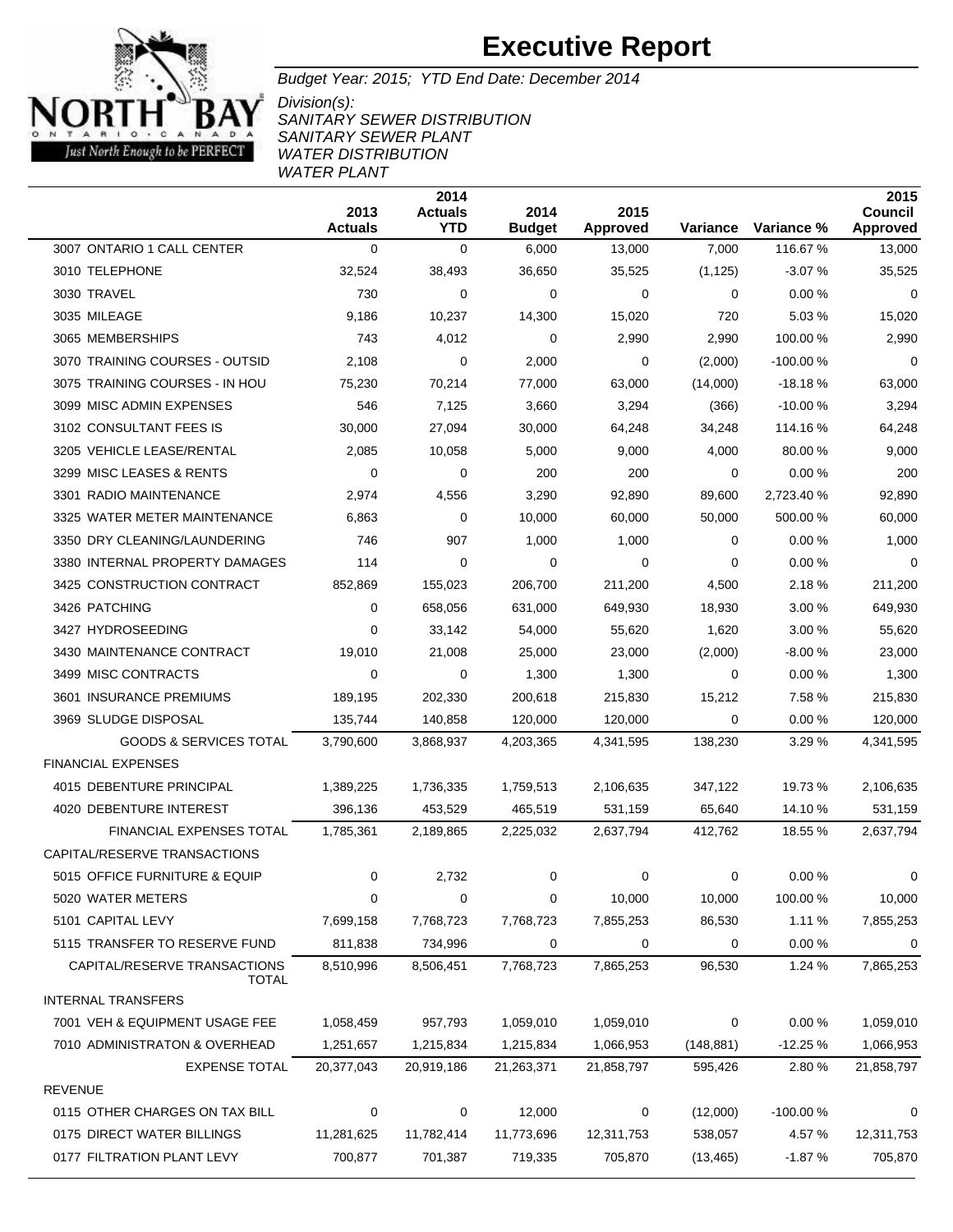

Budget Year: 2015; YTD End Date: December 2014

Division(s): SANITARY SEWER DISTRIBUTION SANITARY SEWER PLANT WATER DISTRIBUTION WATER PLANT

|                                              | 2013<br><b>Actuals</b> | 2014<br><b>Actuals</b><br><b>YTD</b> | 2014<br><b>Budget</b> | 2015<br><b>Approved</b> |             | Variance Variance % | 2015<br>Council<br>Approved |
|----------------------------------------------|------------------------|--------------------------------------|-----------------------|-------------------------|-------------|---------------------|-----------------------------|
| 3007 ONTARIO 1 CALL CENTER                   | 0                      | 0                                    | 6,000                 | 13,000                  | 7,000       | 116.67%             | 13,000                      |
| 3010 TELEPHONE                               | 32,524                 | 38,493                               | 36,650                | 35,525                  | (1, 125)    | $-3.07%$            | 35,525                      |
| 3030 TRAVEL                                  | 730                    | 0                                    | 0                     | 0                       | 0           | 0.00%               | $\mathbf 0$                 |
| 3035 MILEAGE                                 | 9,186                  | 10,237                               | 14,300                | 15,020                  | 720         | 5.03%               | 15,020                      |
| 3065 MEMBERSHIPS                             | 743                    | 4,012                                | $\mathbf 0$           | 2,990                   | 2,990       | 100.00 %            | 2,990                       |
| 3070 TRAINING COURSES - OUTSID               | 2,108                  | 0                                    | 2,000                 | 0                       | (2,000)     | $-100.00%$          | 0                           |
| 3075 TRAINING COURSES - IN HOU               | 75,230                 | 70,214                               | 77,000                | 63,000                  | (14,000)    | $-18.18%$           | 63,000                      |
| 3099 MISC ADMIN EXPENSES                     | 546                    | 7,125                                | 3,660                 | 3,294                   | (366)       | $-10.00%$           | 3,294                       |
| 3102 CONSULTANT FEES IS                      | 30,000                 | 27,094                               | 30,000                | 64,248                  | 34,248      | 114.16 %            | 64,248                      |
| 3205 VEHICLE LEASE/RENTAL                    | 2,085                  | 10,058                               | 5,000                 | 9,000                   | 4,000       | 80.00 %             | 9,000                       |
| 3299 MISC LEASES & RENTS                     | 0                      | 0                                    | 200                   | 200                     | 0           | 0.00%               | 200                         |
| 3301 RADIO MAINTENANCE                       | 2,974                  | 4,556                                | 3,290                 | 92,890                  | 89,600      | 2,723.40 %          | 92,890                      |
| 3325 WATER METER MAINTENANCE                 | 6,863                  | 0                                    | 10,000                | 60,000                  | 50,000      | 500.00 %            | 60,000                      |
| 3350 DRY CLEANING/LAUNDERING                 | 746                    | 907                                  | 1,000                 | 1,000                   | $\mathbf 0$ | 0.00%               | 1,000                       |
| 3380 INTERNAL PROPERTY DAMAGES               | 114                    | 0                                    | $\mathbf 0$           | 0                       | 0           | 0.00%               | 0                           |
| 3425 CONSTRUCTION CONTRACT                   | 852,869                | 155,023                              | 206,700               | 211,200                 | 4,500       | 2.18 %              | 211,200                     |
| 3426 PATCHING                                | 0                      | 658,056                              | 631,000               | 649,930                 | 18,930      | 3.00 %              | 649,930                     |
| 3427 HYDROSEEDING                            | 0                      | 33,142                               | 54,000                | 55,620                  | 1,620       | 3.00%               | 55,620                      |
| 3430 MAINTENANCE CONTRACT                    | 19,010                 | 21,008                               | 25,000                | 23,000                  | (2,000)     | $-8.00%$            | 23,000                      |
| 3499 MISC CONTRACTS                          | 0                      | 0                                    | 1,300                 | 1,300                   | 0           | 0.00%               | 1,300                       |
| 3601 INSURANCE PREMIUMS                      | 189,195                | 202,330                              | 200,618               | 215,830                 | 15,212      | 7.58 %              | 215,830                     |
| 3969 SLUDGE DISPOSAL                         | 135,744                | 140,858                              | 120,000               | 120,000                 | 0           | 0.00%               | 120,000                     |
| <b>GOODS &amp; SERVICES TOTAL</b>            | 3,790,600              | 3,868,937                            | 4,203,365             | 4,341,595               | 138,230     | 3.29%               | 4,341,595                   |
| <b>FINANCIAL EXPENSES</b>                    |                        |                                      |                       |                         |             |                     |                             |
| 4015 DEBENTURE PRINCIPAL                     | 1,389,225              | 1,736,335                            | 1,759,513             | 2,106,635               | 347,122     | 19.73 %             | 2,106,635                   |
| 4020 DEBENTURE INTEREST                      | 396,136                | 453,529                              | 465,519               | 531,159                 | 65,640      | 14.10 %             | 531,159                     |
| FINANCIAL EXPENSES TOTAL                     | 1,785,361              | 2,189,865                            | 2,225,032             | 2,637,794               | 412,762     | 18.55 %             | 2,637,794                   |
| CAPITAL/RESERVE TRANSACTIONS                 |                        |                                      |                       |                         |             |                     |                             |
| 5015 OFFICE FURNITURE & EQUIP                | 0                      | 2,732                                | 0                     | 0                       | 0           | 0.00%               | 0                           |
| 5020 WATER METERS                            | 0                      | 0                                    | 0                     | 10,000                  | 10,000      | 100.00%             | 10,000                      |
| 5101 CAPITAL LEVY                            | 7,699,158              | 7,768,723                            | 7,768,723             | 7,855,253               | 86,530      | 1.11%               | 7,855,253                   |
| 5115 TRANSFER TO RESERVE FUND                | 811,838                | 734,996                              | 0                     | 0                       | 0           | 0.00%               | 0                           |
| CAPITAL/RESERVE TRANSACTIONS<br><b>TOTAL</b> | 8,510,996              | 8,506,451                            | 7,768,723             | 7,865,253               | 96,530      | 1.24 %              | 7,865,253                   |
| <b>INTERNAL TRANSFERS</b>                    |                        |                                      |                       |                         |             |                     |                             |
| 7001 VEH & EQUIPMENT USAGE FEE               | 1,058,459              | 957,793                              | 1,059,010             | 1,059,010               | 0           | 0.00%               | 1,059,010                   |
| 7010 ADMINISTRATON & OVERHEAD                | 1,251,657              | 1,215,834                            | 1,215,834             | 1,066,953               | (148, 881)  | $-12.25%$           | 1,066,953                   |
| <b>EXPENSE TOTAL</b>                         | 20,377,043             | 20,919,186                           | 21,263,371            | 21,858,797              | 595,426     | 2.80%               | 21,858,797                  |
| <b>REVENUE</b>                               |                        |                                      |                       |                         |             |                     |                             |
| 0115 OTHER CHARGES ON TAX BILL               | 0                      | 0                                    | 12,000                | 0                       | (12,000)    | $-100.00%$          | 0                           |
| 0175 DIRECT WATER BILLINGS                   | 11,281,625             | 11,782,414                           | 11,773,696            | 12,311,753              | 538,057     | 4.57 %              | 12,311,753                  |
| 0177 FILTRATION PLANT LEVY                   | 700,877                | 701,387                              | 719,335               | 705,870                 | (13, 465)   | $-1.87%$            | 705,870                     |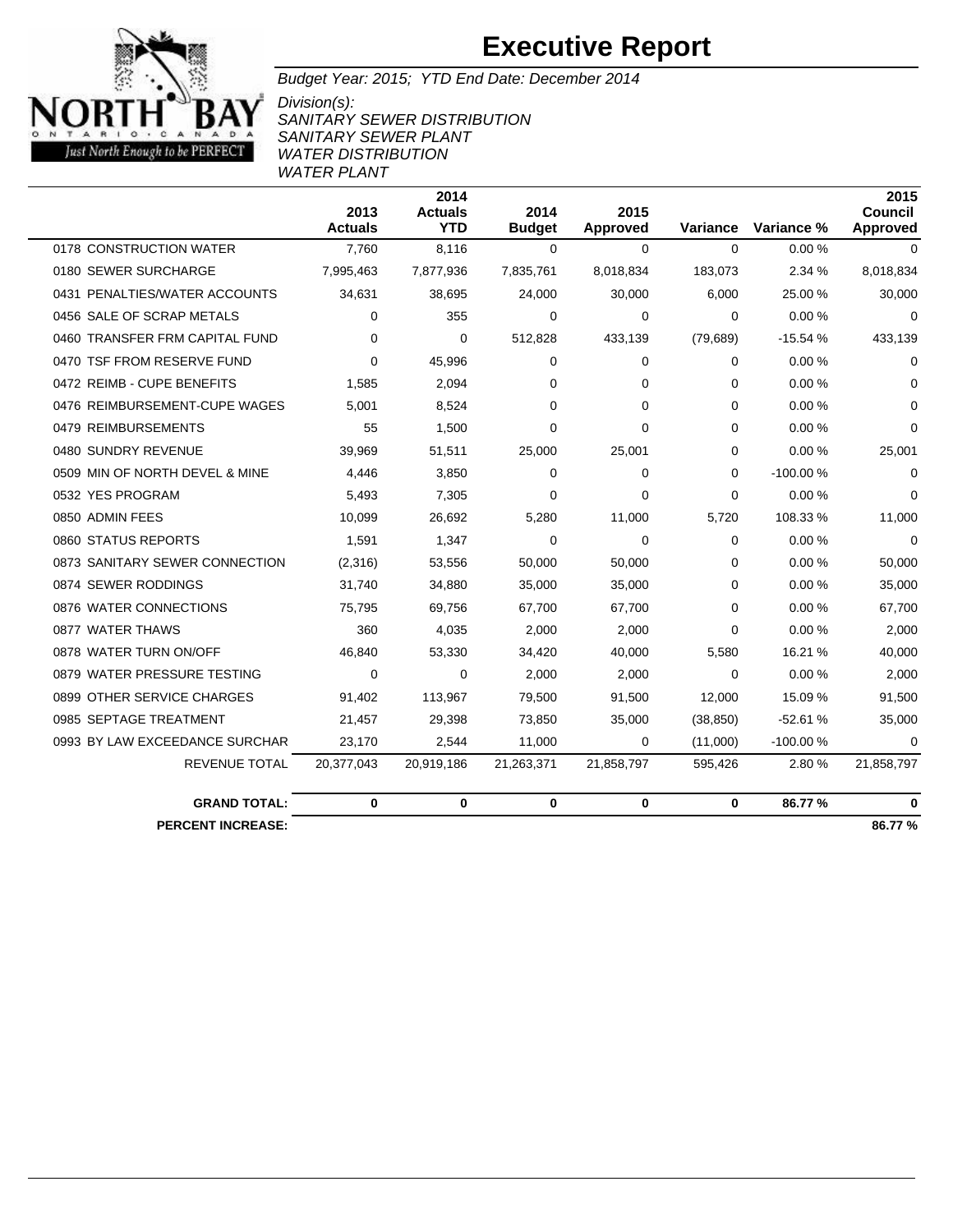

Budget Year: 2015; YTD End Date: December 2014

Division(s): SANITARY SEWER DISTRIBUTION SANITARY SEWER PLANT WATER DISTRIBUTION WATER PLANT

|                                | 2013<br><b>Actuals</b> | 2014<br><b>Actuals</b><br><b>YTD</b> | 2014<br><b>Budget</b> | 2015<br><b>Approved</b> | Variance  | Variance % | 2015<br><b>Council</b><br>Approved |
|--------------------------------|------------------------|--------------------------------------|-----------------------|-------------------------|-----------|------------|------------------------------------|
| 0178 CONSTRUCTION WATER        | 7.760                  | 8,116                                | $\Omega$              | $\Omega$                | $\Omega$  | 0.00%      | $\Omega$                           |
| 0180 SEWER SURCHARGE           | 7,995,463              | 7,877,936                            | 7,835,761             | 8,018,834               | 183,073   | 2.34 %     | 8,018,834                          |
| 0431 PENALTIES/WATER ACCOUNTS  | 34,631                 | 38,695                               | 24,000                | 30,000                  | 6,000     | 25.00 %    | 30,000                             |
| 0456 SALE OF SCRAP METALS      | $\Omega$               | 355                                  | $\mathbf 0$           | 0                       | $\Omega$  | 0.00%      | 0                                  |
| 0460 TRANSFER FRM CAPITAL FUND | 0                      | $\Omega$                             | 512,828               | 433,139                 | (79, 689) | $-15.54%$  | 433,139                            |
| 0470 TSF FROM RESERVE FUND     | 0                      | 45.996                               | 0                     | 0                       | $\Omega$  | 0.00%      | 0                                  |
| 0472 REIMB - CUPE BENEFITS     | 1,585                  | 2,094                                | $\Omega$              | 0                       | $\Omega$  | 0.00%      | $\Omega$                           |
| 0476 REIMBURSEMENT-CUPE WAGES  | 5,001                  | 8,524                                | $\Omega$              | $\Omega$                | $\Omega$  | 0.00%      | $\Omega$                           |
| 0479 REIMBURSEMENTS            | 55                     | 1,500                                | $\Omega$              | $\Omega$                | $\Omega$  | 0.00%      | 0                                  |
| 0480 SUNDRY REVENUE            | 39,969                 | 51,511                               | 25,000                | 25,001                  | 0         | 0.00%      | 25,001                             |
| 0509 MIN OF NORTH DEVEL & MINE | 4.446                  | 3,850                                | $\Omega$              | 0                       | $\Omega$  | $-100.00%$ | 0                                  |
| 0532 YES PROGRAM               | 5,493                  | 7,305                                | $\Omega$              | $\Omega$                | $\Omega$  | 0.00%      | $\Omega$                           |
| 0850 ADMIN FEES                | 10,099                 | 26,692                               | 5,280                 | 11,000                  | 5,720     | 108.33%    | 11,000                             |
| 0860 STATUS REPORTS            | 1,591                  | 1,347                                | $\Omega$              | $\Omega$                | $\Omega$  | 0.00%      | 0                                  |
| 0873 SANITARY SEWER CONNECTION | (2,316)                | 53,556                               | 50,000                | 50,000                  | $\Omega$  | 0.00%      | 50,000                             |
| 0874 SEWER RODDINGS            | 31,740                 | 34,880                               | 35,000                | 35,000                  | $\Omega$  | 0.00%      | 35,000                             |
| 0876 WATER CONNECTIONS         | 75,795                 | 69,756                               | 67,700                | 67,700                  | $\Omega$  | 0.00%      | 67,700                             |
| 0877 WATER THAWS               | 360                    | 4,035                                | 2,000                 | 2,000                   | $\Omega$  | $0.00\,\%$ | 2,000                              |
| 0878 WATER TURN ON/OFF         | 46,840                 | 53,330                               | 34,420                | 40,000                  | 5,580     | 16.21 %    | 40,000                             |
| 0879 WATER PRESSURE TESTING    | 0                      | 0                                    | 2,000                 | 2,000                   | $\Omega$  | 0.00%      | 2,000                              |
| 0899 OTHER SERVICE CHARGES     | 91,402                 | 113,967                              | 79,500                | 91,500                  | 12,000    | 15.09%     | 91,500                             |
| 0985 SEPTAGE TREATMENT         | 21,457                 | 29,398                               | 73,850                | 35,000                  | (38, 850) | $-52.61%$  | 35,000                             |
| 0993 BY LAW EXCEEDANCE SURCHAR | 23,170                 | 2,544                                | 11,000                | 0                       | (11,000)  | $-100.00%$ | 0                                  |
| <b>REVENUE TOTAL</b>           | 20,377,043             | 20,919,186                           | 21,263,371            | 21,858,797              | 595,426   | 2.80%      | 21,858,797                         |
| <b>GRAND TOTAL:</b>            | 0                      | 0                                    | 0                     | $\mathbf 0$             | $\bf{0}$  | 86.77%     | $\bf{0}$                           |
| <b>PERCENT INCREASE:</b>       |                        |                                      |                       |                         |           |            | 86.77%                             |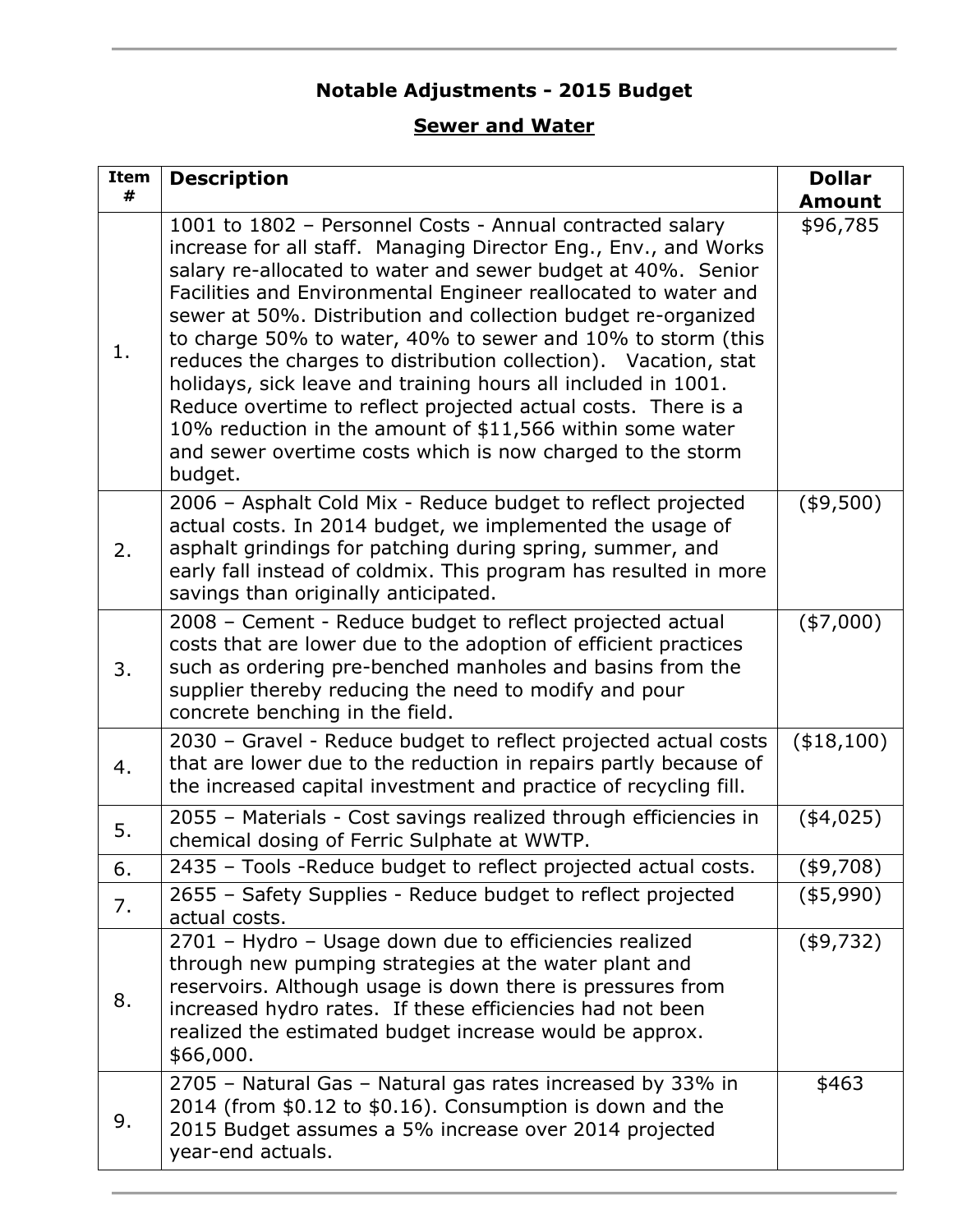### **Notable Adjustments - 2015 Budget**

### **Sewer and Water**

| <b>Item</b><br># | <b>Description</b>                                                                                                                                                                                                                                                                                                                                                                                                                                                                                                                                                                                                                                                                                                                        | <b>Dollar</b><br><b>Amount</b> |
|------------------|-------------------------------------------------------------------------------------------------------------------------------------------------------------------------------------------------------------------------------------------------------------------------------------------------------------------------------------------------------------------------------------------------------------------------------------------------------------------------------------------------------------------------------------------------------------------------------------------------------------------------------------------------------------------------------------------------------------------------------------------|--------------------------------|
| 1.               | 1001 to 1802 - Personnel Costs - Annual contracted salary<br>increase for all staff. Managing Director Eng., Env., and Works<br>salary re-allocated to water and sewer budget at 40%. Senior<br>Facilities and Environmental Engineer reallocated to water and<br>sewer at 50%. Distribution and collection budget re-organized<br>to charge 50% to water, 40% to sewer and 10% to storm (this<br>reduces the charges to distribution collection). Vacation, stat<br>holidays, sick leave and training hours all included in 1001.<br>Reduce overtime to reflect projected actual costs. There is a<br>10% reduction in the amount of \$11,566 within some water<br>and sewer overtime costs which is now charged to the storm<br>budget. | \$96,785                       |
| 2.               | 2006 - Asphalt Cold Mix - Reduce budget to reflect projected<br>actual costs. In 2014 budget, we implemented the usage of<br>asphalt grindings for patching during spring, summer, and<br>early fall instead of coldmix. This program has resulted in more<br>savings than originally anticipated.                                                                                                                                                                                                                                                                                                                                                                                                                                        | $(*9,500)$                     |
| 3.               | 2008 – Cement - Reduce budget to reflect projected actual<br>costs that are lower due to the adoption of efficient practices<br>such as ordering pre-benched manholes and basins from the<br>supplier thereby reducing the need to modify and pour<br>concrete benching in the field.                                                                                                                                                                                                                                                                                                                                                                                                                                                     | (\$7,000)                      |
| 4.               | 2030 - Gravel - Reduce budget to reflect projected actual costs<br>that are lower due to the reduction in repairs partly because of<br>the increased capital investment and practice of recycling fill.                                                                                                                                                                                                                                                                                                                                                                                                                                                                                                                                   | (\$18,100)                     |
| 5.               | 2055 - Materials - Cost savings realized through efficiencies in<br>chemical dosing of Ferric Sulphate at WWTP.                                                                                                                                                                                                                                                                                                                                                                                                                                                                                                                                                                                                                           | $(*4,025)$                     |
| 6.               | 2435 - Tools - Reduce budget to reflect projected actual costs.                                                                                                                                                                                                                                                                                                                                                                                                                                                                                                                                                                                                                                                                           | (\$9,708)                      |
| 7.               | 2655 - Safety Supplies - Reduce budget to reflect projected<br>actual costs.                                                                                                                                                                                                                                                                                                                                                                                                                                                                                                                                                                                                                                                              | ( \$5,990)                     |
| 8.               | 2701 - Hydro - Usage down due to efficiencies realized<br>through new pumping strategies at the water plant and<br>reservoirs. Although usage is down there is pressures from<br>increased hydro rates. If these efficiencies had not been<br>realized the estimated budget increase would be approx.<br>\$66,000.                                                                                                                                                                                                                                                                                                                                                                                                                        | (\$9,732)                      |
| 9.               | 2705 - Natural Gas - Natural gas rates increased by 33% in<br>2014 (from $$0.12$ to $$0.16$ ). Consumption is down and the<br>2015 Budget assumes a 5% increase over 2014 projected<br>year-end actuals.                                                                                                                                                                                                                                                                                                                                                                                                                                                                                                                                  | \$463                          |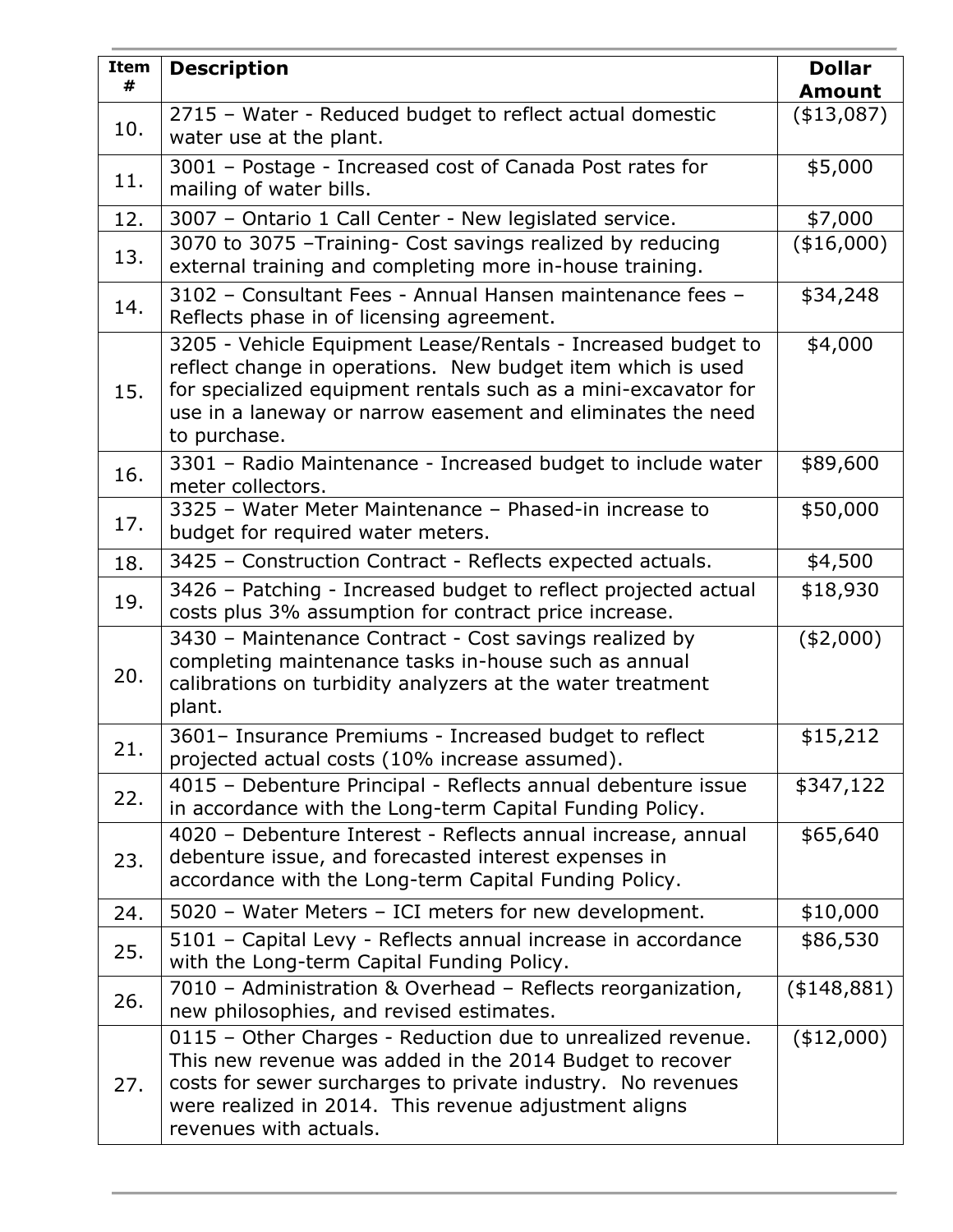| <b>Item</b><br># | <b>Description</b>                                                                                                                                                                                                                                                           | <b>Dollar</b><br><b>Amount</b> |
|------------------|------------------------------------------------------------------------------------------------------------------------------------------------------------------------------------------------------------------------------------------------------------------------------|--------------------------------|
| 10.              | 2715 - Water - Reduced budget to reflect actual domestic<br>water use at the plant.                                                                                                                                                                                          | (\$13,087)                     |
| 11.              | 3001 - Postage - Increased cost of Canada Post rates for<br>mailing of water bills.                                                                                                                                                                                          | \$5,000                        |
| 12.              | 3007 - Ontario 1 Call Center - New legislated service.                                                                                                                                                                                                                       | \$7,000                        |
| 13.              | 3070 to 3075 - Training - Cost savings realized by reducing<br>external training and completing more in-house training.                                                                                                                                                      | (\$16,000)                     |
| 14.              | 3102 - Consultant Fees - Annual Hansen maintenance fees -<br>Reflects phase in of licensing agreement.                                                                                                                                                                       | \$34,248                       |
| 15.              | 3205 - Vehicle Equipment Lease/Rentals - Increased budget to<br>reflect change in operations. New budget item which is used<br>for specialized equipment rentals such as a mini-excavator for<br>use in a laneway or narrow easement and eliminates the need<br>to purchase. | \$4,000                        |
| 16.              | 3301 - Radio Maintenance - Increased budget to include water<br>meter collectors.                                                                                                                                                                                            | \$89,600                       |
| 17.              | 3325 - Water Meter Maintenance - Phased-in increase to<br>budget for required water meters.                                                                                                                                                                                  | \$50,000                       |
| 18.              | 3425 - Construction Contract - Reflects expected actuals.                                                                                                                                                                                                                    | \$4,500                        |
| 19.              | 3426 - Patching - Increased budget to reflect projected actual<br>costs plus 3% assumption for contract price increase.                                                                                                                                                      | \$18,930                       |
| 20.              | 3430 - Maintenance Contract - Cost savings realized by<br>completing maintenance tasks in-house such as annual<br>calibrations on turbidity analyzers at the water treatment<br>plant.                                                                                       | $(*2,000)$                     |
| 21.              | 3601- Insurance Premiums - Increased budget to reflect<br>projected actual costs (10% increase assumed).                                                                                                                                                                     | \$15,212                       |
| 22.              | 4015 - Debenture Principal - Reflects annual debenture issue<br>in accordance with the Long-term Capital Funding Policy.                                                                                                                                                     | \$347,122                      |
| 23.              | 4020 - Debenture Interest - Reflects annual increase, annual<br>debenture issue, and forecasted interest expenses in<br>accordance with the Long-term Capital Funding Policy.                                                                                                | \$65,640                       |
| 24.              | 5020 - Water Meters - ICI meters for new development.                                                                                                                                                                                                                        | \$10,000                       |
| 25.              | 5101 - Capital Levy - Reflects annual increase in accordance<br>with the Long-term Capital Funding Policy.                                                                                                                                                                   | \$86,530                       |
| 26.              | 7010 - Administration & Overhead - Reflects reorganization,<br>new philosophies, and revised estimates.                                                                                                                                                                      | ( \$148, 881)                  |
| 27.              | 0115 - Other Charges - Reduction due to unrealized revenue.<br>This new revenue was added in the 2014 Budget to recover<br>costs for sewer surcharges to private industry. No revenues<br>were realized in 2014. This revenue adjustment aligns<br>revenues with actuals.    | (\$12,000)                     |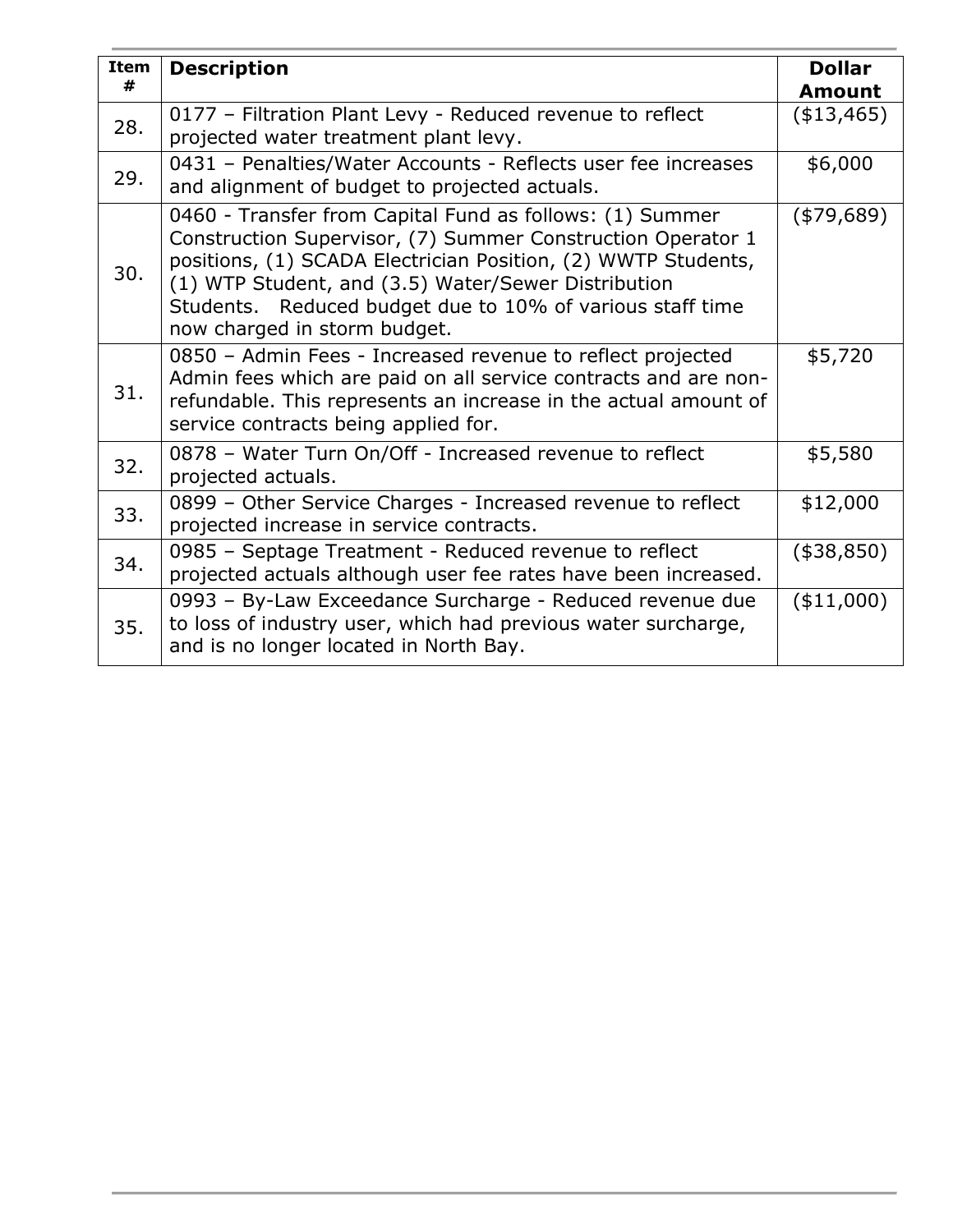| <b>Item</b><br># | <b>Description</b>                                                                                                                                                                                                                                                                                                                           | <b>Dollar</b><br><b>Amount</b> |
|------------------|----------------------------------------------------------------------------------------------------------------------------------------------------------------------------------------------------------------------------------------------------------------------------------------------------------------------------------------------|--------------------------------|
| 28.              | 0177 - Filtration Plant Levy - Reduced revenue to reflect<br>projected water treatment plant levy.                                                                                                                                                                                                                                           | (\$13,465)                     |
| 29.              | 0431 - Penalties/Water Accounts - Reflects user fee increases<br>and alignment of budget to projected actuals.                                                                                                                                                                                                                               | \$6,000                        |
| 30.              | 0460 - Transfer from Capital Fund as follows: (1) Summer<br>Construction Supervisor, (7) Summer Construction Operator 1<br>positions, (1) SCADA Electrician Position, (2) WWTP Students,<br>(1) WTP Student, and (3.5) Water/Sewer Distribution<br>Students. Reduced budget due to 10% of various staff time<br>now charged in storm budget. | (479, 689)                     |
| 31.              | 0850 - Admin Fees - Increased revenue to reflect projected<br>Admin fees which are paid on all service contracts and are non-<br>refundable. This represents an increase in the actual amount of<br>service contracts being applied for.                                                                                                     | \$5,720                        |
| 32.              | 0878 - Water Turn On/Off - Increased revenue to reflect<br>projected actuals.                                                                                                                                                                                                                                                                | \$5,580                        |
| 33.              | 0899 - Other Service Charges - Increased revenue to reflect<br>projected increase in service contracts.                                                                                                                                                                                                                                      | \$12,000                       |
| 34.              | 0985 - Septage Treatment - Reduced revenue to reflect<br>projected actuals although user fee rates have been increased.                                                                                                                                                                                                                      | (\$38,850)                     |
| 35.              | 0993 - By-Law Exceedance Surcharge - Reduced revenue due<br>to loss of industry user, which had previous water surcharge,<br>and is no longer located in North Bay.                                                                                                                                                                          | (\$11,000)                     |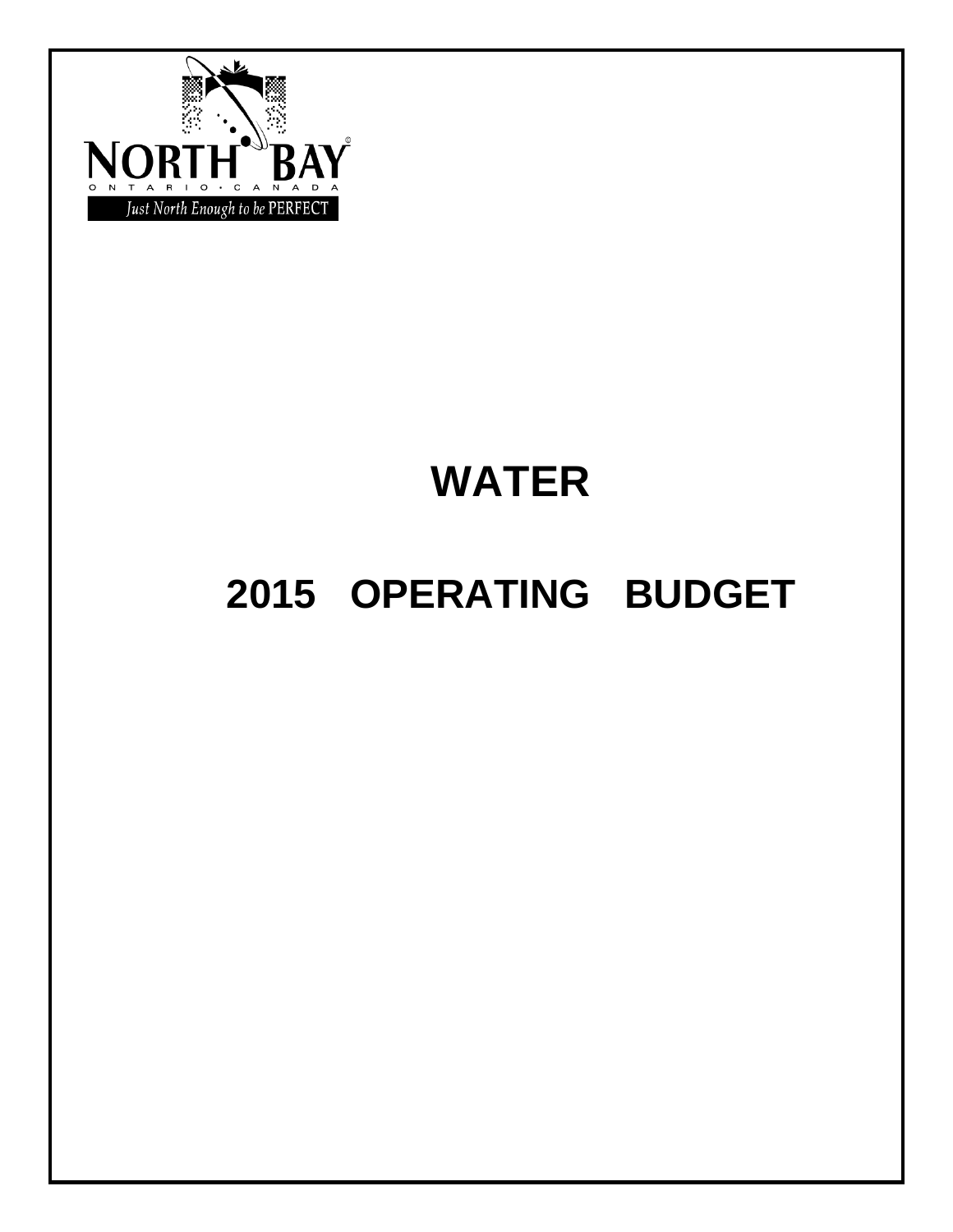

# **WATER**

# **2015 OPERATING BUDGET**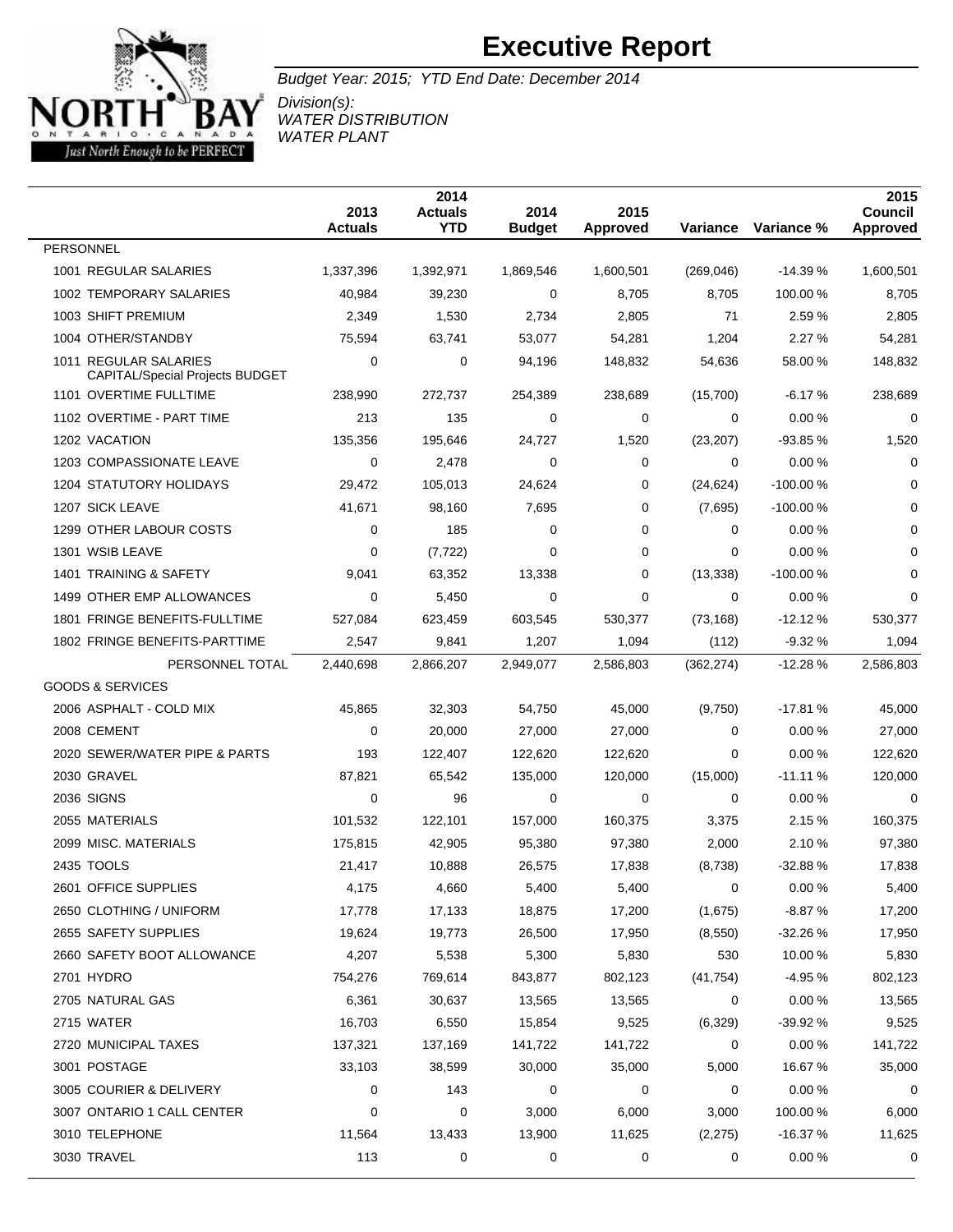

Budget Year: 2015; YTD End Date: December 2014

Division(s): WATER DISTRIBUTION WATER PLANT

|                                                                 | 2013<br><b>Actuals</b> | 2014<br><b>Actuals</b><br><b>YTD</b> | 2014<br><b>Budget</b> | 2015<br><b>Approved</b> | Variance     | Variance % | 2015<br>Council<br>Approved |
|-----------------------------------------------------------------|------------------------|--------------------------------------|-----------------------|-------------------------|--------------|------------|-----------------------------|
| <b>PERSONNEL</b>                                                |                        |                                      |                       |                         |              |            |                             |
| 1001 REGULAR SALARIES                                           | 1,337,396              | 1,392,971                            | 1,869,546             | 1,600,501               | (269, 046)   | $-14.39%$  | 1,600,501                   |
| 1002 TEMPORARY SALARIES                                         | 40,984                 | 39,230                               | 0                     | 8,705                   | 8,705        | 100.00 %   | 8,705                       |
| 1003 SHIFT PREMIUM                                              | 2,349                  | 1,530                                | 2,734                 | 2,805                   | 71           | 2.59 %     | 2,805                       |
| 1004 OTHER/STANDBY                                              | 75,594                 | 63,741                               | 53,077                | 54,281                  | 1,204        | 2.27%      | 54,281                      |
| 1011 REGULAR SALARIES<br><b>CAPITAL/Special Projects BUDGET</b> | 0                      | 0                                    | 94,196                | 148,832                 | 54,636       | 58.00%     | 148,832                     |
| 1101 OVERTIME FULLTIME                                          | 238,990                | 272,737                              | 254,389               | 238,689                 | (15,700)     | $-6.17%$   | 238,689                     |
| 1102 OVERTIME - PART TIME                                       | 213                    | 135                                  | 0                     | 0                       | 0            | 0.00%      | 0                           |
| 1202 VACATION                                                   | 135,356                | 195,646                              | 24,727                | 1,520                   | (23, 207)    | $-93.85%$  | 1,520                       |
| 1203 COMPASSIONATE LEAVE                                        | 0                      | 2,478                                | 0                     | 0                       | 0            | 0.00%      | 0                           |
| <b>1204 STATUTORY HOLIDAYS</b>                                  | 29,472                 | 105,013                              | 24,624                | 0                       | (24, 624)    | $-100.00%$ | 0                           |
| 1207 SICK LEAVE                                                 | 41,671                 | 98,160                               | 7,695                 | 0                       | (7,695)      | $-100.00%$ | 0                           |
| 1299 OTHER LABOUR COSTS                                         | 0                      | 185                                  | $\Omega$              | 0                       | 0            | 0.00%      | 0                           |
| 1301 WSIB LEAVE                                                 | 0                      | (7, 722)                             | 0                     | 0                       | 0            | 0.00%      | 0                           |
| 1401 TRAINING & SAFETY                                          | 9,041                  | 63,352                               | 13,338                | 0                       | (13, 338)    | -100.00%   | 0                           |
| 1499 OTHER EMP ALLOWANCES                                       | 0                      | 5,450                                | 0                     | 0                       | 0            | 0.00%      | 0                           |
| 1801 FRINGE BENEFITS-FULLTIME                                   | 527,084                | 623,459                              | 603,545               | 530,377                 | (73, 168)    | $-12.12%$  | 530,377                     |
| 1802 FRINGE BENEFITS-PARTTIME                                   | 2,547                  | 9,841                                | 1,207                 | 1,094                   | (112)        | $-9.32%$   | 1,094                       |
| PERSONNEL TOTAL                                                 | 2,440,698              | 2,866,207                            | 2,949,077             | 2,586,803               | (362, 274)   | $-12.28%$  | 2,586,803                   |
| <b>GOODS &amp; SERVICES</b>                                     |                        |                                      |                       |                         |              |            |                             |
| 2006 ASPHALT - COLD MIX                                         | 45,865                 | 32,303                               | 54,750                | 45,000                  | (9,750)      | $-17.81%$  | 45,000                      |
| 2008 CEMENT                                                     | 0                      | 20,000                               | 27,000                | 27,000                  | 0            | 0.00%      | 27,000                      |
| 2020 SEWER/WATER PIPE & PARTS                                   | 193                    | 122,407                              | 122,620               | 122,620                 | 0            | 0.00%      | 122,620                     |
| 2030 GRAVEL                                                     | 87,821                 | 65,542                               | 135,000               | 120,000                 | (15,000)     | $-11.11%$  | 120,000                     |
| <b>2036 SIGNS</b>                                               | 0                      | 96                                   | 0                     | 0                       | 0            | 0.00%      | 0                           |
| 2055 MATERIALS                                                  | 101,532                | 122,101                              | 157,000               | 160,375                 | 3,375        | 2.15 %     | 160,375                     |
| 2099 MISC. MATERIALS                                            | 175,815                | 42,905                               | 95,380                | 97,380                  | 2,000        | 2.10%      | 97,380                      |
| 2435 TOOLS                                                      | 21,417                 | 10,888                               | 26,575                | 17,838                  | (8,738)      | $-32.88%$  | 17,838                      |
| 2601 OFFICE SUPPLIES                                            | 4,175                  | 4,660                                | 5,400                 | 5,400                   | $\mathbf{0}$ | 0.00%      | 5,400                       |
| 2650 CLOTHING / UNIFORM                                         | 17,778                 | 17,133                               | 18,875                | 17,200                  | (1,675)      | $-8.87%$   | 17,200                      |
| 2655 SAFETY SUPPLIES                                            | 19,624                 | 19,773                               | 26,500                | 17,950                  | (8, 550)     | $-32.26%$  | 17,950                      |
| 2660 SAFETY BOOT ALLOWANCE                                      | 4,207                  | 5,538                                | 5,300                 | 5,830                   | 530          | 10.00 %    | 5,830                       |
| 2701 HYDRO                                                      | 754,276                | 769,614                              | 843,877               | 802,123                 | (41, 754)    | $-4.95%$   | 802,123                     |
| 2705 NATURAL GAS                                                | 6,361                  | 30,637                               | 13,565                | 13,565                  | 0            | 0.00%      | 13,565                      |
| 2715 WATER                                                      | 16,703                 | 6,550                                | 15,854                | 9,525                   | (6,329)      | -39.92 %   | 9,525                       |
| 2720 MUNICIPAL TAXES                                            | 137,321                | 137,169                              | 141,722               | 141,722                 | 0            | 0.00%      | 141,722                     |
| 3001 POSTAGE                                                    | 33,103                 | 38,599                               | 30,000                | 35,000                  | 5,000        | 16.67%     | 35,000                      |
| 3005 COURIER & DELIVERY                                         | 0                      | 143                                  | 0                     | 0                       | 0            | 0.00%      | 0                           |
| 3007 ONTARIO 1 CALL CENTER                                      | 0                      | 0                                    | 3,000                 | 6,000                   | 3,000        | 100.00%    | 6,000                       |
| 3010 TELEPHONE                                                  | 11,564                 | 13,433                               | 13,900                | 11,625                  | (2, 275)     | $-16.37%$  | 11,625                      |
| 3030 TRAVEL                                                     | 113                    | 0                                    | 0                     | 0                       | 0            | 0.00%      | 0                           |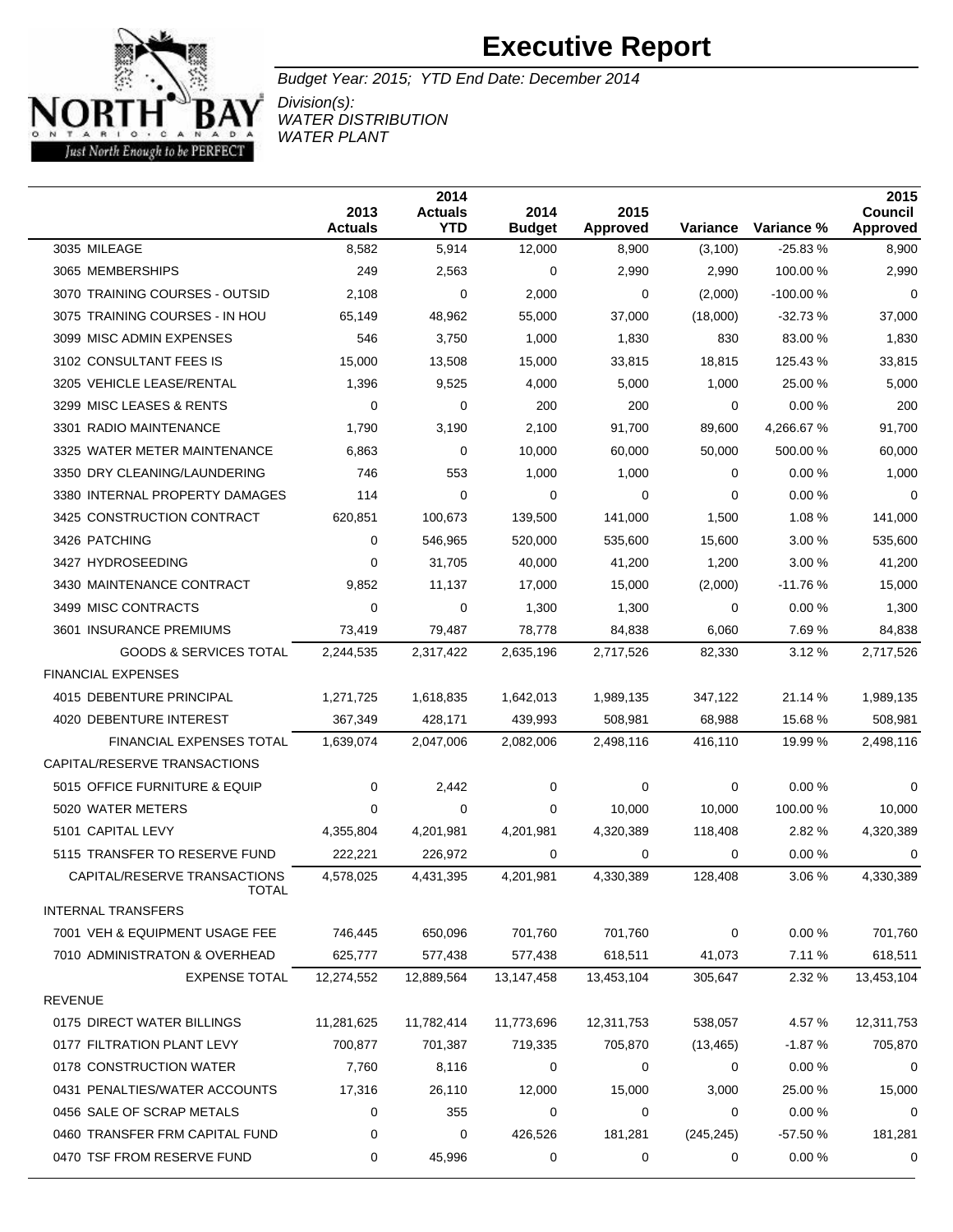

Budget Year: 2015; YTD End Date: December 2014

Division(s): WATER DISTRIBUTION WATER PLANT

|                                       | 2013<br><b>Actuals</b> | 2014<br><b>Actuals</b><br><b>YTD</b> | 2014<br><b>Budget</b> | 2015<br><b>Approved</b> | Variance    | Variance % | 2015<br>Council<br><b>Approved</b> |
|---------------------------------------|------------------------|--------------------------------------|-----------------------|-------------------------|-------------|------------|------------------------------------|
| 3035 MILEAGE                          | 8,582                  | 5,914                                | 12,000                | 8,900                   | (3,100)     | $-25.83%$  | 8,900                              |
| 3065 MEMBERSHIPS                      | 249                    | 2,563                                | 0                     | 2,990                   | 2,990       | 100.00 %   | 2,990                              |
| 3070 TRAINING COURSES - OUTSID        | 2,108                  | 0                                    | 2,000                 | 0                       | (2,000)     | $-100.00%$ | $\mathbf 0$                        |
| 3075 TRAINING COURSES - IN HOU        | 65,149                 | 48,962                               | 55,000                | 37,000                  | (18,000)    | $-32.73%$  | 37,000                             |
| 3099 MISC ADMIN EXPENSES              | 546                    | 3,750                                | 1,000                 | 1,830                   | 830         | 83.00 %    | 1,830                              |
| 3102 CONSULTANT FEES IS               | 15,000                 | 13,508                               | 15,000                | 33,815                  | 18,815      | 125.43%    | 33,815                             |
| 3205 VEHICLE LEASE/RENTAL             | 1,396                  | 9,525                                | 4,000                 | 5,000                   | 1,000       | 25.00 %    | 5,000                              |
| 3299 MISC LEASES & RENTS              | 0                      | 0                                    | 200                   | 200                     | 0           | 0.00%      | 200                                |
| 3301 RADIO MAINTENANCE                | 1,790                  | 3,190                                | 2,100                 | 91,700                  | 89,600      | 4,266.67 % | 91,700                             |
| 3325 WATER METER MAINTENANCE          | 6,863                  | 0                                    | 10,000                | 60,000                  | 50,000      | 500.00 %   | 60,000                             |
| 3350 DRY CLEANING/LAUNDERING          | 746                    | 553                                  | 1,000                 | 1,000                   | 0           | 0.00%      | 1,000                              |
| 3380 INTERNAL PROPERTY DAMAGES        | 114                    | 0                                    | 0                     | 0                       | 0           | 0.00%      | 0                                  |
| 3425 CONSTRUCTION CONTRACT            | 620,851                | 100,673                              | 139,500               | 141,000                 | 1,500       | 1.08 %     | 141,000                            |
| 3426 PATCHING                         | 0                      | 546,965                              | 520,000               | 535,600                 | 15,600      | 3.00%      | 535,600                            |
| 3427 HYDROSEEDING                     | 0                      | 31,705                               | 40,000                | 41,200                  | 1,200       | 3.00%      | 41,200                             |
| 3430 MAINTENANCE CONTRACT             | 9,852                  | 11,137                               | 17,000                | 15,000                  | (2,000)     | $-11.76%$  | 15,000                             |
| 3499 MISC CONTRACTS                   | 0                      | 0                                    | 1,300                 | 1,300                   | 0           | 0.00%      | 1,300                              |
| 3601 INSURANCE PREMIUMS               | 73,419                 | 79,487                               | 78,778                | 84,838                  | 6,060       | 7.69%      | 84,838                             |
| <b>GOODS &amp; SERVICES TOTAL</b>     | 2,244,535              | 2,317,422                            | 2,635,196             | 2,717,526               | 82,330      | 3.12%      | 2,717,526                          |
| <b>FINANCIAL EXPENSES</b>             |                        |                                      |                       |                         |             |            |                                    |
| 4015 DEBENTURE PRINCIPAL              | 1,271,725              | 1,618,835                            | 1,642,013             | 1,989,135               | 347,122     | 21.14 %    | 1,989,135                          |
| 4020 DEBENTURE INTEREST               | 367,349                | 428,171                              | 439,993               | 508,981                 | 68,988      | 15.68 %    | 508,981                            |
| <b>FINANCIAL EXPENSES TOTAL</b>       | 1,639,074              | 2,047,006                            | 2,082,006             | 2,498,116               | 416,110     | 19.99 %    | 2,498,116                          |
| CAPITAL/RESERVE TRANSACTIONS          |                        |                                      |                       |                         |             |            |                                    |
| 5015 OFFICE FURNITURE & EQUIP         | 0                      | 2,442                                | 0                     | 0                       | 0           | 0.00%      | 0                                  |
| 5020 WATER METERS                     | 0                      | 0                                    | 0                     | 10,000                  | 10,000      | 100.00 %   | 10,000                             |
| 5101 CAPITAL LEVY                     | 4,355,804              | 4,201,981                            | 4,201,981             | 4,320,389               | 118,408     | 2.82 %     | 4,320,389                          |
| 5115 TRANSFER TO RESERVE FUND         | 222,221                | 226,972                              | 0                     | 0                       | 0           | 0.00%      | 0                                  |
| CAPITAL/RESERVE TRANSACTIONS<br>TOTAL | 4,578,025              | 4,431,395                            | 4,201,981             | 4,330,389               | 128.408     | 3.06 %     | 4,330,389                          |
| <b>INTERNAL TRANSFERS</b>             |                        |                                      |                       |                         |             |            |                                    |
| 7001 VEH & EQUIPMENT USAGE FEE        | 746,445                | 650,096                              | 701,760               | 701,760                 | $\mathbf 0$ | 0.00%      | 701,760                            |
| 7010 ADMINISTRATON & OVERHEAD         | 625,777                | 577,438                              | 577,438               | 618,511                 | 41,073      | 7.11%      | 618,511                            |
| <b>EXPENSE TOTAL</b>                  | 12,274,552             | 12,889,564                           | 13,147,458            | 13,453,104              | 305,647     | 2.32 %     | 13,453,104                         |
| <b>REVENUE</b>                        |                        |                                      |                       |                         |             |            |                                    |
| 0175 DIRECT WATER BILLINGS            | 11,281,625             | 11,782,414                           | 11,773,696            | 12,311,753              | 538,057     | 4.57 %     | 12,311,753                         |
| 0177 FILTRATION PLANT LEVY            | 700,877                | 701,387                              | 719,335               | 705,870                 | (13, 465)   | $-1.87%$   | 705,870                            |
| 0178 CONSTRUCTION WATER               | 7,760                  | 8,116                                | 0                     | 0                       | 0           | 0.00%      | 0                                  |
| 0431 PENALTIES/WATER ACCOUNTS         | 17,316                 | 26,110                               | 12,000                | 15,000                  | 3,000       | 25.00 %    | 15,000                             |
| 0456 SALE OF SCRAP METALS             | 0                      | 355                                  | 0                     | 0                       | 0           | 0.00%      | 0                                  |
| 0460 TRANSFER FRM CAPITAL FUND        | 0                      | 0                                    | 426,526               | 181,281                 | (245, 245)  | $-57.50%$  | 181,281                            |
| 0470 TSF FROM RESERVE FUND            | 0                      | 45,996                               | 0                     | 0                       | 0           | 0.00%      | 0                                  |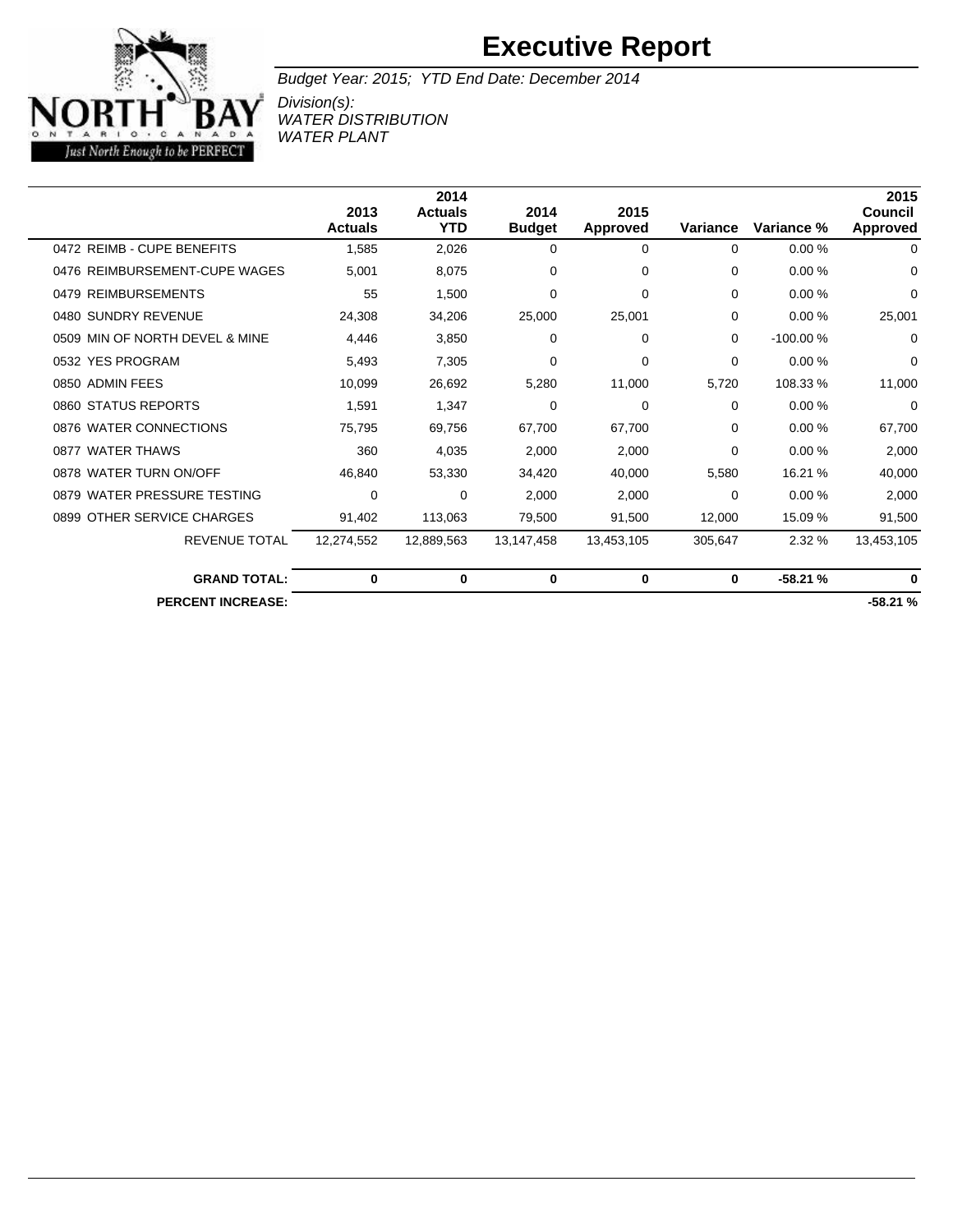#### Ď TARIO . C A  $N$  A  $\mathbf{D}$ Just North Enough to be PERFECT

### **Executive Report**

Budget Year: 2015; YTD End Date: December 2014

Division(s): WATER DISTRIBUTION WATER PLANT

|                                |                | 2014           |               |                 |          |            | 2015       |
|--------------------------------|----------------|----------------|---------------|-----------------|----------|------------|------------|
|                                | 2013           | <b>Actuals</b> | 2014          | 2015            |          |            | Council    |
|                                | <b>Actuals</b> | YTD            | <b>Budget</b> | <b>Approved</b> | Variance | Variance % | Approved   |
| 0472 REIMB - CUPE BENEFITS     | 1,585          | 2,026          | $\Omega$      | $\Omega$        | 0        | 0.00%      | 0          |
| 0476 REIMBURSEMENT-CUPE WAGES  | 5,001          | 8,075          | $\Omega$      | $\Omega$        | 0        | 0.00%      | 0          |
| 0479 REIMBURSEMENTS            | 55             | 1,500          | 0             | 0               | $\Omega$ | 0.00%      | 0          |
| 0480 SUNDRY REVENUE            | 24,308         | 34,206         | 25,000        | 25,001          | $\Omega$ | 0.00%      | 25,001     |
| 0509 MIN OF NORTH DEVEL & MINE | 4,446          | 3,850          | 0             | 0               | $\Omega$ | $-100.00%$ | 0          |
| 0532 YES PROGRAM               | 5,493          | 7.305          | 0             | 0               | $\Omega$ | 0.00%      | 0          |
| 0850 ADMIN FEES                | 10,099         | 26,692         | 5,280         | 11,000          | 5,720    | 108.33 %   | 11,000     |
| 0860 STATUS REPORTS            | 1.591          | 1.347          | 0             | 0               | $\Omega$ | 0.00%      | 0          |
| 0876 WATER CONNECTIONS         | 75,795         | 69,756         | 67,700        | 67,700          | $\Omega$ | 0.00%      | 67,700     |
| 0877 WATER THAWS               | 360            | 4,035          | 2,000         | 2,000           | $\Omega$ | 0.00%      | 2,000      |
| 0878 WATER TURN ON/OFF         | 46,840         | 53,330         | 34,420        | 40,000          | 5,580    | 16.21 %    | 40,000     |
| 0879 WATER PRESSURE TESTING    | 0              | 0              | 2,000         | 2,000           | $\Omega$ | 0.00%      | 2,000      |
| 0899 OTHER SERVICE CHARGES     | 91,402         | 113,063        | 79,500        | 91,500          | 12,000   | 15.09 %    | 91,500     |
| <b>REVENUE TOTAL</b>           | 12,274,552     | 12,889,563     | 13,147,458    | 13,453,105      | 305,647  | 2.32%      | 13,453,105 |
| <b>GRAND TOTAL:</b>            | 0              | 0              | 0             | 0               | 0        | $-58.21%$  | $\bf{0}$   |
| <b>PERCENT INCREASE:</b>       |                |                |               |                 |          |            | $-58.21%$  |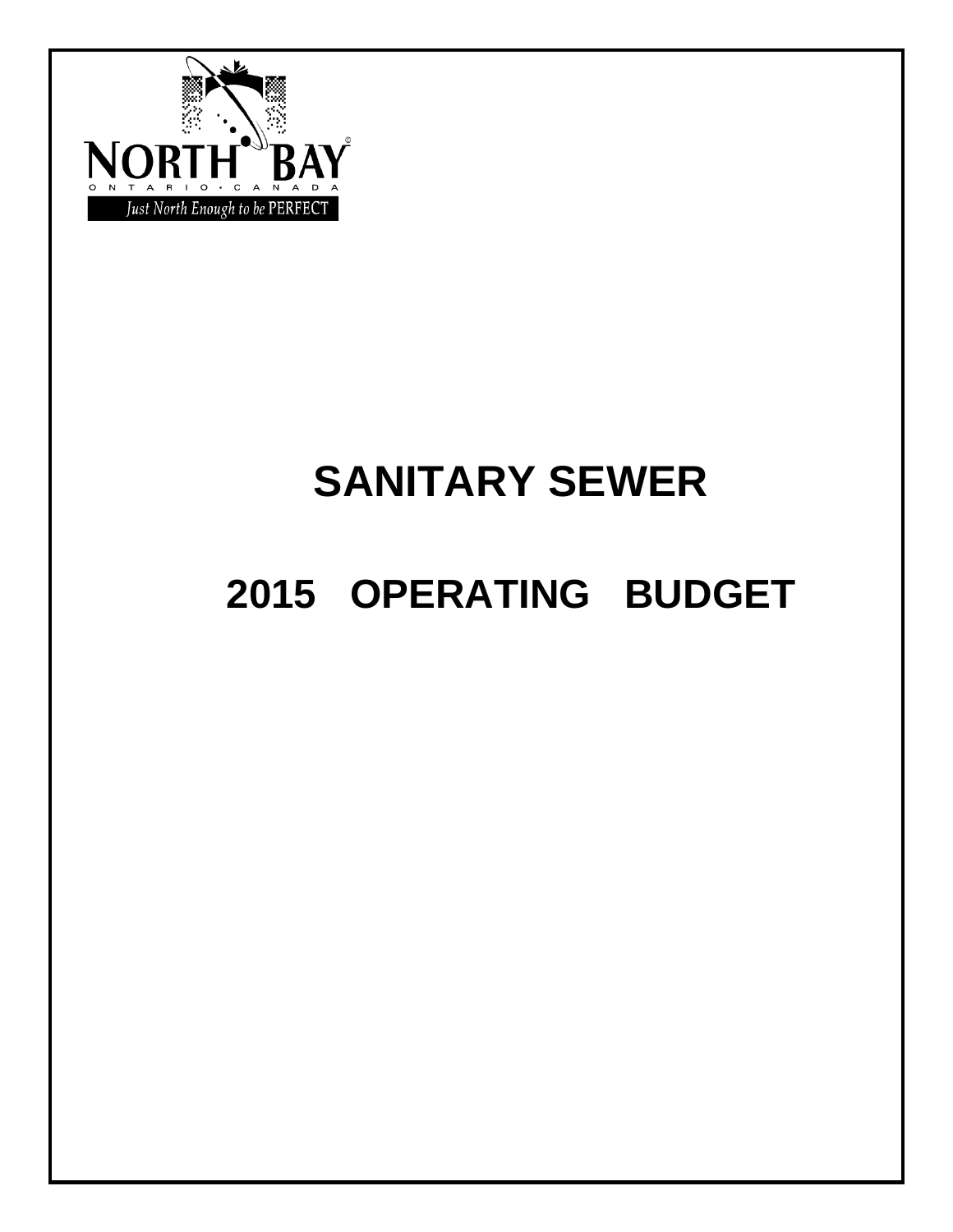

# **SANITARY SEWER**

# **2015 OPERATING BUDGET**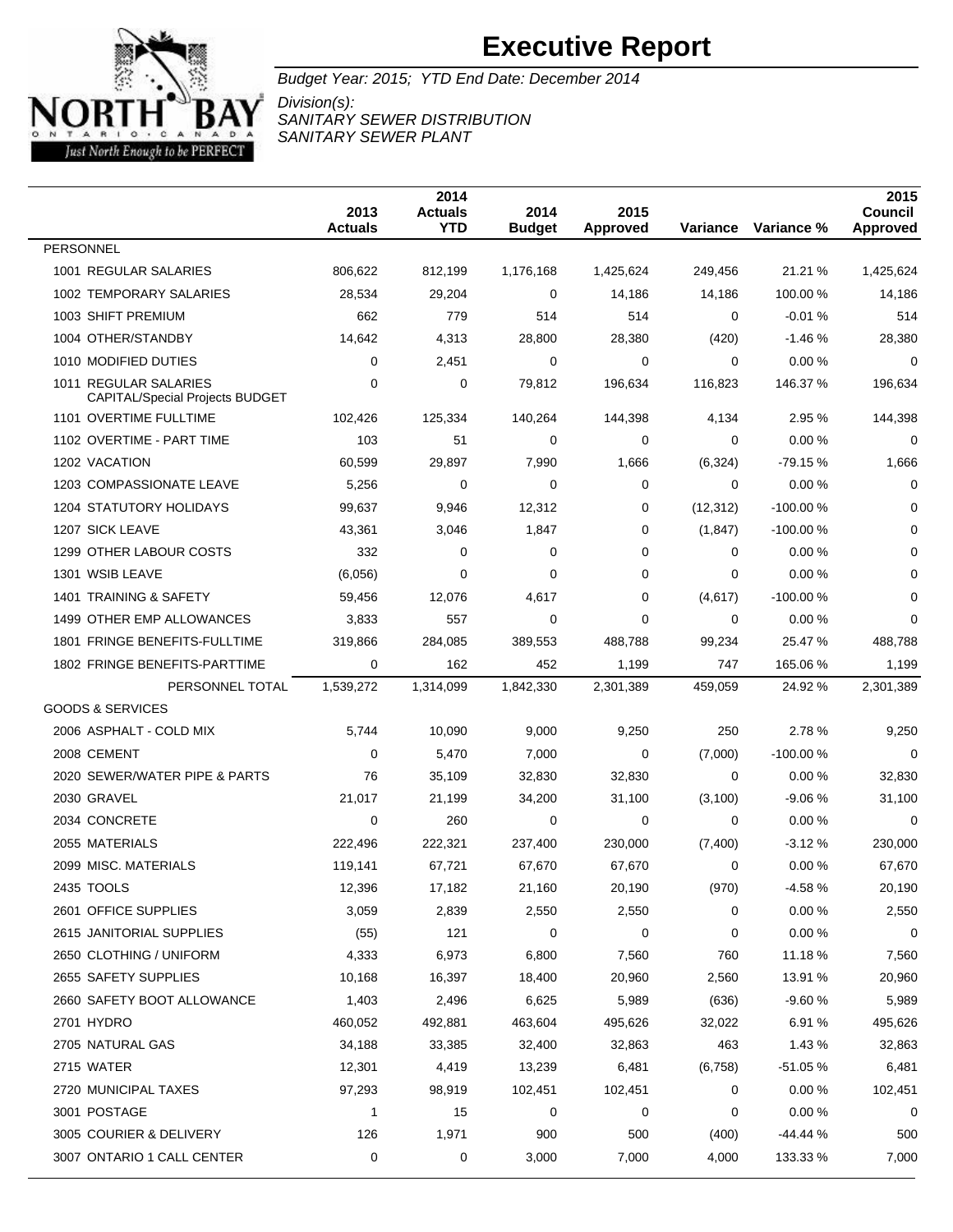

Budget Year: 2015; YTD End Date: December 2014 Division(s): SANITARY SEWER DISTRIBUTION

SANITARY SEWER PLANT

 **Actuals Actuals YTD Budget Approved Variance Variance % Council Approved PERSONNEL**  REGULAR SALARIES 806,622 812,199 1,176,168 1,425,624 249,456 21.21 % 1,425,624 TEMPORARY SALARIES 28,534 29,204 0 14,186 14,186 100.00 % 14,186 SHIFT PREMIUM 662 779 514 514 0 -0.01 % 514 OTHER/STANDBY 14,642 4,313 28,800 28,380 (420) -1.46 % 28,380 MODIFIED DUTIES 0 2,451 0 0 0 0.00 % 0 REGULAR SALARIES CAPITAL/Special Projects BUDGET 0 79,812 196,634 116,823 146.37 % 196,634 OVERTIME FULLTIME 102,426 125,334 140,264 144,398 4,134 2.95 % 144,398 OVERTIME - PART TIME 103 51 0 0 0 0.00 % 0 VACATION 60,599 29,897 7,990 1,666 (6,324) -79.15 % 1,666 COMPASSIONATE LEAVE 5,256 0 0 0 0 0.00 % 0 STATUTORY HOLIDAYS 99,637 9,946 12,312 0 (12,312) -100.00 % 0 SICK LEAVE 43,361 3,046 1,847 0 (1,847) -100.00 % 0 OTHER LABOUR COSTS 332 0 0 0 0 0.00 % 0 WSIB LEAVE (6,056) 0 0 0 0 0.00 % 0 TRAINING & SAFETY 59,456 12,076 4,617 0 (4,617) -100.00 % 0 1499 OTHER EMP ALLOWANCES 3.833 557 0 0 0 0.00 % 0 FRINGE BENEFITS-FULLTIME 319,866 284,085 389,553 488,788 99,234 25.47 % 488,788 1802 FRINGE BENEFITS-PARTTIME 0 162 452 1,199 747 165.06 % 1,199 PERSONNEL TOTAL 1,539,272 1,314,099 1,842,330 2,301,389 459,059 24.92 % 2,301,389 GOODS & SERVICES ASPHALT - COLD MIX 5,744 10,090 9,000 9,250 250 2.78 % 9,250 CEMENT 0 5,470 7,000 0 (7,000) -100.00 % 0 SEWER/WATER PIPE & PARTS 76 35,109 32,830 32,830 0 0.00 % 32,830 GRAVEL 21,017 21,199 34,200 31,100 (3,100) -9.06 % 31,100 CONCRETE 0 260 0 0 0 0.00 % 0 MATERIALS 222,496 222,321 237,400 230,000 (7,400) -3.12 % 230,000 MISC. MATERIALS 119,141 67,721 67,670 67,670 0 0.00 % 67,670 TOOLS 12,396 17,182 21,160 20,190 (970) -4.58 % 20,190 OFFICE SUPPLIES 3,059 2,839 2,550 2,550 0 0.00 % 2,550 JANITORIAL SUPPLIES (55) 121 0 0 0 0.00 % 0 CLOTHING / UNIFORM 4,333 6,973 6,800 7,560 760 11.18 % 7,560 SAFETY SUPPLIES 10,168 16,397 18,400 20,960 2,560 13.91 % 20,960 SAFETY BOOT ALLOWANCE 1,403 2,496 6,625 5,989 (636) -9.60 % 5,989 HYDRO 460,052 492,881 463,604 495,626 32,022 6.91 % 495,626 NATURAL GAS 34,188 33,385 32,400 32,863 463 1.43 % 32,863 WATER 12,301 4,419 13,239 6,481 (6,758) -51.05 % 6,481 MUNICIPAL TAXES 97,293 98,919 102,451 102,451 0 0.00 % 102,451 3001 POSTAGE 1 15 0 0 0 0.00 % 0 COURIER & DELIVERY 126 1,971 900 500 (400) -44.44 % 500 ONTARIO 1 CALL CENTER 0 0 3,000 7,000 4,000 133.33 % 7,000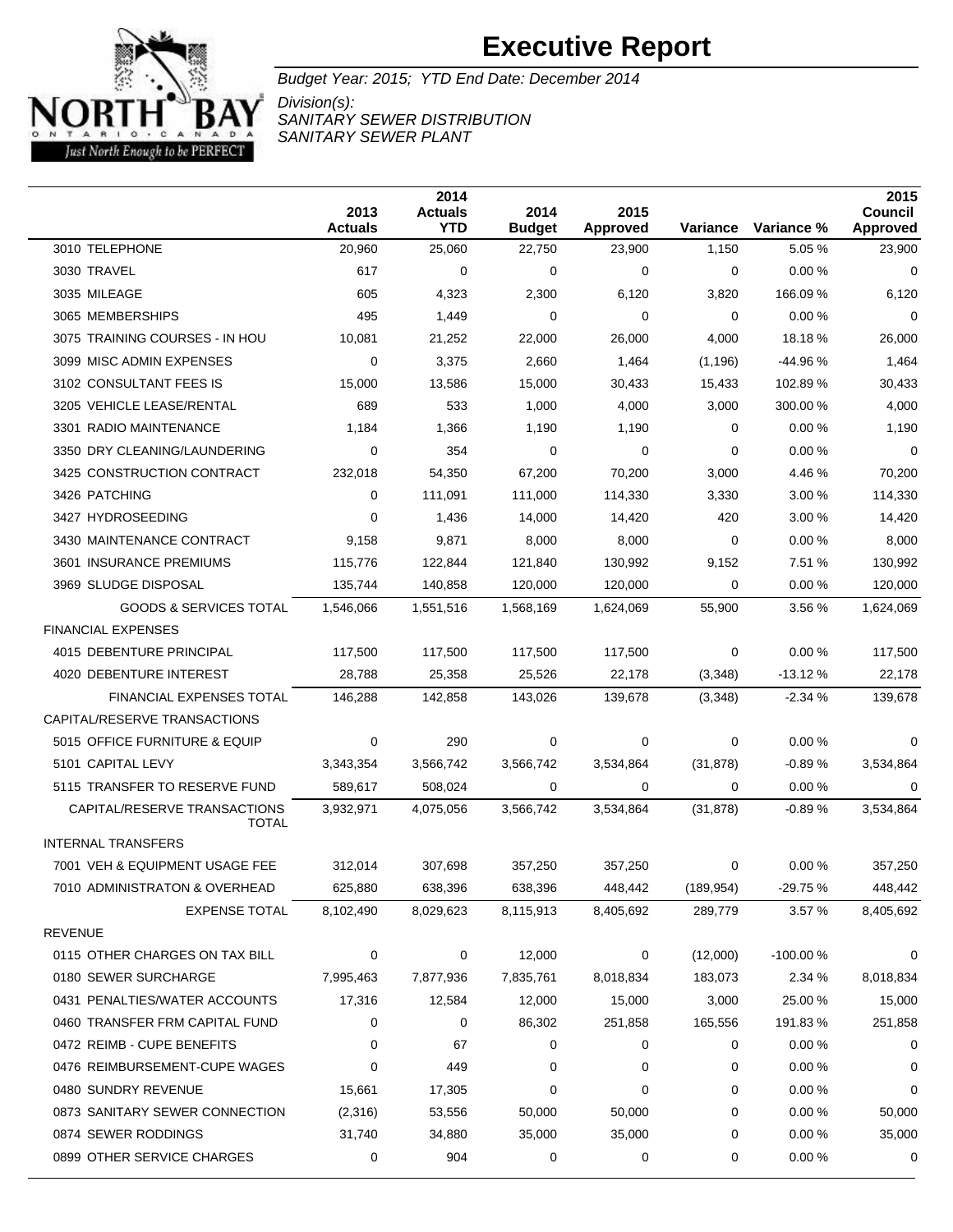

Budget Year: 2015; YTD End Date: December 2014

Division(s): SANITARY SEWER DISTRIBUTION SANITARY SEWER PLANT

|                                              | 2013<br><b>Actuals</b> | 2014<br><b>Actuals</b><br><b>YTD</b> | 2014<br><b>Budget</b> | 2015<br>Approved | Variance    | Variance % | 2015<br><b>Council</b><br>Approved |
|----------------------------------------------|------------------------|--------------------------------------|-----------------------|------------------|-------------|------------|------------------------------------|
| 3010 TELEPHONE                               | 20,960                 | 25,060                               | 22,750                | 23,900           | 1,150       | 5.05 %     | 23,900                             |
| 3030 TRAVEL                                  | 617                    | 0                                    | 0                     | 0                | 0           | 0.00%      | 0                                  |
| 3035 MILEAGE                                 | 605                    | 4,323                                | 2,300                 | 6,120            | 3,820       | 166.09 %   | 6,120                              |
| 3065 MEMBERSHIPS                             | 495                    | 1,449                                | 0                     | 0                | $\Omega$    | 0.00%      | 0                                  |
| 3075 TRAINING COURSES - IN HOU               | 10,081                 | 21,252                               | 22,000                | 26,000           | 4,000       | 18.18 %    | 26,000                             |
| 3099 MISC ADMIN EXPENSES                     | 0                      | 3,375                                | 2,660                 | 1,464            | (1, 196)    | $-44.96%$  | 1,464                              |
| 3102 CONSULTANT FEES IS                      | 15,000                 | 13,586                               | 15,000                | 30,433           | 15,433      | 102.89%    | 30,433                             |
| 3205 VEHICLE LEASE/RENTAL                    | 689                    | 533                                  | 1,000                 | 4,000            | 3,000       | 300.00 %   | 4,000                              |
| 3301 RADIO MAINTENANCE                       | 1,184                  | 1,366                                | 1,190                 | 1,190            | 0           | 0.00%      | 1,190                              |
| 3350 DRY CLEANING/LAUNDERING                 | 0                      | 354                                  | 0                     | 0                | $\mathbf 0$ | 0.00%      | $\mathbf 0$                        |
| 3425 CONSTRUCTION CONTRACT                   | 232,018                | 54,350                               | 67,200                | 70,200           | 3,000       | 4.46 %     | 70,200                             |
| 3426 PATCHING                                | 0                      | 111,091                              | 111,000               | 114,330          | 3,330       | 3.00%      | 114,330                            |
| 3427 HYDROSEEDING                            | 0                      | 1,436                                | 14,000                | 14,420           | 420         | 3.00%      | 14,420                             |
| 3430 MAINTENANCE CONTRACT                    | 9,158                  | 9,871                                | 8,000                 | 8,000            | 0           | 0.00%      | 8,000                              |
| 3601 INSURANCE PREMIUMS                      | 115,776                | 122,844                              | 121,840               | 130,992          | 9,152       | 7.51 %     | 130,992                            |
| 3969 SLUDGE DISPOSAL                         | 135,744                | 140,858                              | 120,000               | 120,000          | 0           | 0.00%      | 120,000                            |
| <b>GOODS &amp; SERVICES TOTAL</b>            | 1,546,066              | 1,551,516                            | 1,568,169             | 1,624,069        | 55,900      | 3.56 %     | 1,624,069                          |
| <b>FINANCIAL EXPENSES</b>                    |                        |                                      |                       |                  |             |            |                                    |
| 4015 DEBENTURE PRINCIPAL                     | 117,500                | 117,500                              | 117,500               | 117,500          | 0           | 0.00%      | 117,500                            |
| 4020 DEBENTURE INTEREST                      | 28,788                 | 25,358                               | 25,526                | 22,178           | (3,348)     | $-13.12%$  | 22,178                             |
| FINANCIAL EXPENSES TOTAL                     | 146,288                | 142,858                              | 143,026               | 139,678          | (3,348)     | $-2.34%$   | 139,678                            |
| CAPITAL/RESERVE TRANSACTIONS                 |                        |                                      |                       |                  |             |            |                                    |
| 5015 OFFICE FURNITURE & EQUIP                | 0                      | 290                                  | 0                     | 0                | 0           | 0.00%      | 0                                  |
| 5101 CAPITAL LEVY                            | 3,343,354              | 3,566,742                            | 3,566,742             | 3,534,864        | (31, 878)   | $-0.89%$   | 3,534,864                          |
| 5115 TRANSFER TO RESERVE FUND                | 589,617                | 508,024                              | 0                     | 0                | 0           | 0.00%      | 0                                  |
| CAPITAL/RESERVE TRANSACTIONS<br><b>TOTAL</b> | 3,932,971              | 4,075,056                            | 3,566,742             | 3,534,864        | (31, 878)   | $-0.89%$   | 3,534,864                          |
| <b>INTERNAL TRANSFERS</b>                    |                        |                                      |                       |                  |             |            |                                    |
| 7001 VEH & EQUIPMENT USAGE FEE               | 312,014                | 307.698                              | 357,250               | 357,250          | 0           | 0.00%      | 357,250                            |
| 7010 ADMINISTRATON & OVERHEAD                | 625,880                | 638,396                              | 638,396               | 448,442          | (189, 954)  | -29.75 %   | 448,442                            |
| <b>EXPENSE TOTAL</b>                         | 8,102,490              | 8,029,623                            | 8,115,913             | 8,405,692        | 289,779     | 3.57%      | 8,405,692                          |
| <b>REVENUE</b>                               |                        |                                      |                       |                  |             |            |                                    |
| 0115 OTHER CHARGES ON TAX BILL               | 0                      | 0                                    | 12,000                | 0                | (12,000)    | $-100.00%$ | 0                                  |
| 0180 SEWER SURCHARGE                         | 7,995,463              | 7,877,936                            | 7,835,761             | 8,018,834        | 183,073     | 2.34 %     | 8,018,834                          |
| 0431 PENALTIES/WATER ACCOUNTS                | 17,316                 | 12,584                               | 12,000                | 15,000           | 3,000       | 25.00 %    | 15,000                             |
| 0460 TRANSFER FRM CAPITAL FUND               | 0                      | 0                                    | 86,302                | 251,858          | 165,556     | 191.83%    | 251,858                            |
| 0472 REIMB - CUPE BENEFITS                   | 0                      | 67                                   | 0                     | 0                | 0           | 0.00%      | 0                                  |
| 0476 REIMBURSEMENT-CUPE WAGES                | 0                      | 449                                  | 0                     | 0                | 0           | 0.00%      | 0                                  |
| 0480 SUNDRY REVENUE                          | 15,661                 | 17,305                               | 0                     | 0                | 0           | 0.00%      | 0                                  |
| 0873 SANITARY SEWER CONNECTION               | (2,316)                | 53,556                               | 50,000                | 50,000           | 0           | 0.00%      | 50,000                             |
| 0874 SEWER RODDINGS                          | 31,740                 | 34,880                               | 35,000                | 35,000           | 0           | 0.00%      | 35,000                             |
| 0899 OTHER SERVICE CHARGES                   | 0                      | 904                                  | 0                     | 0                | 0           | 0.00%      | 0                                  |